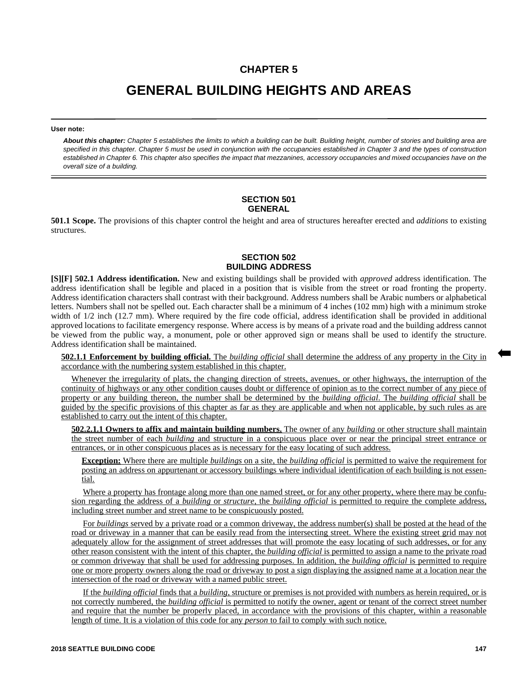# **CHAPTER 5**

# **GENERAL BUILDING HEIGHTS AND AREAS**

#### **User note:**

*About this chapter: Chapter 5 establishes the limits to which a building can be built. Building height, number of stories and building area are specified in this chapter. Chapter 5 must be used in conjunction with the occupancies established in Chapter 3 and the types of construction established in Chapter 6. This chapter also specifies the impact that mezzanines, accessory occupancies and mixed occupancies have on the overall size of a building.*

#### **SECTION 501 GENERAL**

**501.1 Scope.** The provisions of this chapter control the height and area of structures hereafter erected and *additions* to existing structures.

# **SECTION 502 BUILDING ADDRESS**

**[S][F] 502.1 Address identification.** New and existing buildings shall be provided with *approved* address identification. The address identification shall be legible and placed in a position that is visible from the street or road fronting the property. Address identification characters shall contrast with their background. Address numbers shall be Arabic numbers or alphabetical letters. Numbers shall not be spelled out. Each character shall be a minimum of 4 inches (102 mm) high with a minimum stroke width of  $1/2$  inch (12.7 mm). Where required by the fire code official, address identification shall be provided in additional approved locations to facilitate emergency response. Where access is by means of a private road and the building address cannot be viewed from the public way, a monument, pole or other approved sign or means shall be used to identify the structure. Address identification shall be maintained.

**502.1.1 Enforcement by building official.** The *building official* shall determine the address of any property in the City in accordance with the numbering system established in this chapter.

Whenever the irregularity of plats, the changing direction of streets, avenues, or other highways, the interruption of the continuity of highways or any other condition causes doubt or difference of opinion as to the correct number of any piece of property or any building thereon, the number shall be determined by the *building official*. The *building official* shall be guided by the specific provisions of this chapter as far as they are applicable and when not applicable, by such rules as are established to carry out the intent of this chapter.

**502.2.1.1 Owners to affix and maintain building numbers.** The owner of any *building* or other structure shall maintain the street number of each *building* and structure in a conspicuous place over or near the principal street entrance or entrances, or in other conspicuous places as is necessary for the easy locating of such address.

**Exception:** Where there are multiple *buildings* on a site, the *building official* is permitted to waive the requirement for posting an address on appurtenant or accessory buildings where individual identification of each building is not essential.

Where a property has frontage along more than one named street, or for any other property, where there may be confusion regarding the address of a *building* or *structure*, the *building official* is permitted to require the complete address, including street number and street name to be conspicuously posted.

For *buildings* served by a private road or a common driveway, the address number(s) shall be posted at the head of the road or driveway in a manner that can be easily read from the intersecting street. Where the existing street grid may not adequately allow for the assignment of street addresses that will promote the easy locating of such addresses, or for any other reason consistent with the intent of this chapter, the *building official* is permitted to assign a name to the private road or common driveway that shall be used for addressing purposes. In addition, the *building official* is permitted to require one or more property owners along the road or driveway to post a sign displaying the assigned name at a location near the intersection of the road or driveway with a named public street.

If the *building official* finds that a *building*, structure or premises is not provided with numbers as herein required, or is not correctly numbered, the *building official* is permitted to notify the owner, agent or tenant of the correct street number and require that the number be properly placed, in accordance with the provisions of this chapter, within a reasonable length of time. It is a violation of this code for any *person* to fail to comply with such notice.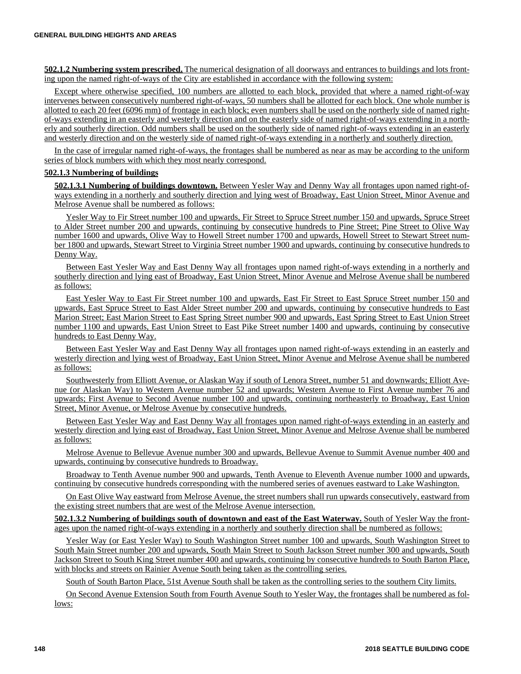**502.1.2 Numbering system prescribed.** The numerical designation of all doorways and entrances to buildings and lots fronting upon the named right-of-ways of the City are established in accordance with the following system:

Except where otherwise specified, 100 numbers are allotted to each block, provided that where a named right-of-way intervenes between consecutively numbered right-of-ways, 50 numbers shall be allotted for each block. One whole number is allotted to each 20 feet (6096 mm) of frontage in each block; even numbers shall be used on the northerly side of named rightof-ways extending in an easterly and westerly direction and on the easterly side of named right-of-ways extending in a northerly and southerly direction. Odd numbers shall be used on the southerly side of named right-of-ways extending in an easterly and westerly direction and on the westerly side of named right-of-ways extending in a northerly and southerly direction.

In the case of irregular named right-of-ways, the frontages shall be numbered as near as may be according to the uniform series of block numbers with which they most nearly correspond.

#### **502.1.3 Numbering of buildings**

**502.1.3.1 Numbering of buildings downtown.** Between Yesler Way and Denny Way all frontages upon named right-ofways extending in a northerly and southerly direction and lying west of Broadway, East Union Street, Minor Avenue and Melrose Avenue shall be numbered as follows:

Yesler Way to Fir Street number 100 and upwards, Fir Street to Spruce Street number 150 and upwards, Spruce Street to Alder Street number 200 and upwards, continuing by consecutive hundreds to Pine Street; Pine Street to Olive Way number 1600 and upwards, Olive Way to Howell Street number 1700 and upwards, Howell Street to Stewart Street number 1800 and upwards, Stewart Street to Virginia Street number 1900 and upwards, continuing by consecutive hundreds to Denny Way.

Between East Yesler Way and East Denny Way all frontages upon named right-of-ways extending in a northerly and southerly direction and lying east of Broadway, East Union Street, Minor Avenue and Melrose Avenue shall be numbered as follows:

East Yesler Way to East Fir Street number 100 and upwards, East Fir Street to East Spruce Street number 150 and upwards, East Spruce Street to East Alder Street number 200 and upwards, continuing by consecutive hundreds to East Marion Street; East Marion Street to East Spring Street number 900 and upwards, East Spring Street to East Union Street number 1100 and upwards, East Union Street to East Pike Street number 1400 and upwards, continuing by consecutive hundreds to East Denny Way.

Between East Yesler Way and East Denny Way all frontages upon named right-of-ways extending in an easterly and westerly direction and lying west of Broadway, East Union Street, Minor Avenue and Melrose Avenue shall be numbered as follows:

Southwesterly from Elliott Avenue, or Alaskan Way if south of Lenora Street, number 51 and downwards; Elliott Avenue (or Alaskan Way) to Western Avenue number 52 and upwards; Western Avenue to First Avenue number 76 and upwards; First Avenue to Second Avenue number 100 and upwards, continuing northeasterly to Broadway, East Union Street, Minor Avenue, or Melrose Avenue by consecutive hundreds.

Between East Yesler Way and East Denny Way all frontages upon named right-of-ways extending in an easterly and westerly direction and lying east of Broadway, East Union Street, Minor Avenue and Melrose Avenue shall be numbered as follows:

Melrose Avenue to Bellevue Avenue number 300 and upwards, Bellevue Avenue to Summit Avenue number 400 and upwards, continuing by consecutive hundreds to Broadway.

Broadway to Tenth Avenue number 900 and upwards, Tenth Avenue to Eleventh Avenue number 1000 and upwards, continuing by consecutive hundreds corresponding with the numbered series of avenues eastward to Lake Washington.

On East Olive Way eastward from Melrose Avenue, the street numbers shall run upwards consecutively, eastward from the existing street numbers that are west of the Melrose Avenue intersection.

**502.1.3.2 Numbering of buildings south of downtown and east of the East Waterway.** South of Yesler Way the frontages upon the named right-of-ways extending in a northerly and southerly direction shall be numbered as follows:

Yesler Way (or East Yesler Way) to South Washington Street number 100 and upwards, South Washington Street to South Main Street number 200 and upwards, South Main Street to South Jackson Street number 300 and upwards, South Jackson Street to South King Street number 400 and upwards, continuing by consecutive hundreds to South Barton Place, with blocks and streets on Rainier Avenue South being taken as the controlling series.

South of South Barton Place, 51st Avenue South shall be taken as the controlling series to the southern City limits.

On Second Avenue Extension South from Fourth Avenue South to Yesler Way, the frontages shall be numbered as follows: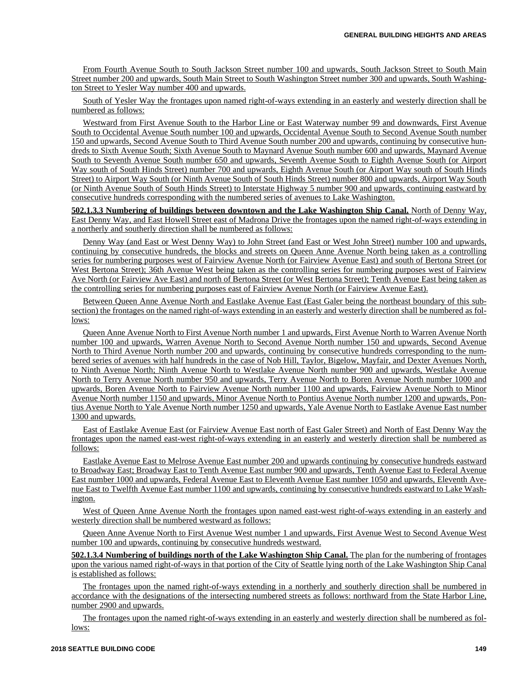From Fourth Avenue South to South Jackson Street number 100 and upwards, South Jackson Street to South Main Street number 200 and upwards, South Main Street to South Washington Street number 300 and upwards, South Washington Street to Yesler Way number 400 and upwards.

South of Yesler Way the frontages upon named right-of-ways extending in an easterly and westerly direction shall be numbered as follows:

Westward from First Avenue South to the Harbor Line or East Waterway number 99 and downwards, First Avenue South to Occidental Avenue South number 100 and upwards, Occidental Avenue South to Second Avenue South number 150 and upwards, Second Avenue South to Third Avenue South number 200 and upwards, continuing by consecutive hundreds to Sixth Avenue South; Sixth Avenue South to Maynard Avenue South number 600 and upwards, Maynard Avenue South to Seventh Avenue South number 650 and upwards, Seventh Avenue South to Eighth Avenue South (or Airport Way south of South Hinds Street) number 700 and upwards, Eighth Avenue South (or Airport Way south of South Hinds Street) to Airport Way South (or Ninth Avenue South of South Hinds Street) number 800 and upwards, Airport Way South (or Ninth Avenue South of South Hinds Street) to Interstate Highway 5 number 900 and upwards, continuing eastward by consecutive hundreds corresponding with the numbered series of avenues to Lake Washington.

**502.1.3.3 Numbering of buildings between downtown and the Lake Washington Ship Canal.** North of Denny Way, East Denny Way, and East Howell Street east of Madrona Drive the frontages upon the named right-of-ways extending in a northerly and southerly direction shall be numbered as follows:

Denny Way (and East or West Denny Way) to John Street (and East or West John Street) number 100 and upwards, continuing by consecutive hundreds, the blocks and streets on Queen Anne Avenue North being taken as a controlling series for numbering purposes west of Fairview Avenue North (or Fairview Avenue East) and south of Bertona Street (or West Bertona Street); 36th Avenue West being taken as the controlling series for numbering purposes west of Fairview Ave North (or Fairview Ave East) and north of Bertona Street (or West Bertona Street); Tenth Avenue East being taken as the controlling series for numbering purposes east of Fairview Avenue North (or Fairview Avenue East).

Between Queen Anne Avenue North and Eastlake Avenue East (East Galer being the northeast boundary of this subsection) the frontages on the named right-of-ways extending in an easterly and westerly direction shall be numbered as follows:

Queen Anne Avenue North to First Avenue North number 1 and upwards, First Avenue North to Warren Avenue North number 100 and upwards, Warren Avenue North to Second Avenue North number 150 and upwards, Second Avenue North to Third Avenue North number 200 and upwards, continuing by consecutive hundreds corresponding to the numbered series of avenues with half hundreds in the case of Nob Hill, Taylor, Bigelow, Mayfair, and Dexter Avenues North, to Ninth Avenue North; Ninth Avenue North to Westlake Avenue North number 900 and upwards, Westlake Avenue North to Terry Avenue North number 950 and upwards, Terry Avenue North to Boren Avenue North number 1000 and upwards, Boren Avenue North to Fairview Avenue North number 1100 and upwards, Fairview Avenue North to Minor Avenue North number 1150 and upwards, Minor Avenue North to Pontius Avenue North number 1200 and upwards, Pontius Avenue North to Yale Avenue North number 1250 and upwards, Yale Avenue North to Eastlake Avenue East number 1300 and upwards.

East of Eastlake Avenue East (or Fairview Avenue East north of East Galer Street) and North of East Denny Way the frontages upon the named east-west right-of-ways extending in an easterly and westerly direction shall be numbered as follows:

Eastlake Avenue East to Melrose Avenue East number 200 and upwards continuing by consecutive hundreds eastward to Broadway East; Broadway East to Tenth Avenue East number 900 and upwards, Tenth Avenue East to Federal Avenue East number 1000 and upwards, Federal Avenue East to Eleventh Avenue East number 1050 and upwards, Eleventh Avenue East to Twelfth Avenue East number 1100 and upwards, continuing by consecutive hundreds eastward to Lake Washington.

West of Queen Anne Avenue North the frontages upon named east-west right-of-ways extending in an easterly and westerly direction shall be numbered westward as follows:

Queen Anne Avenue North to First Avenue West number 1 and upwards, First Avenue West to Second Avenue West number 100 and upwards, continuing by consecutive hundreds westward.

**502.1.3.4 Numbering of buildings north of the Lake Washington Ship Canal.** The plan for the numbering of frontages upon the various named right-of-ways in that portion of the City of Seattle lying north of the Lake Washington Ship Canal is established as follows:

The frontages upon the named right-of-ways extending in a northerly and southerly direction shall be numbered in accordance with the designations of the intersecting numbered streets as follows: northward from the State Harbor Line, number 2900 and upwards.

The frontages upon the named right-of-ways extending in an easterly and westerly direction shall be numbered as follows: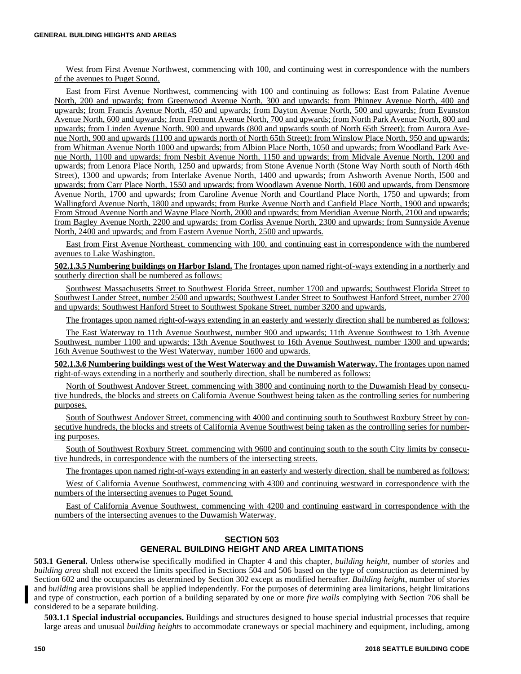West from First Avenue Northwest, commencing with 100, and continuing west in correspondence with the numbers of the avenues to Puget Sound.

East from First Avenue Northwest, commencing with 100 and continuing as follows: East from Palatine Avenue North, 200 and upwards; from Greenwood Avenue North, 300 and upwards; from Phinney Avenue North, 400 and upwards; from Francis Avenue North, 450 and upwards; from Dayton Avenue North, 500 and upwards; from Evanston Avenue North, 600 and upwards; from Fremont Avenue North, 700 and upwards; from North Park Avenue North, 800 and upwards; from Linden Avenue North, 900 and upwards (800 and upwards south of North 65th Street); from Aurora Avenue North, 900 and upwards (1100 and upwards north of North 65th Street); from Winslow Place North, 950 and upwards; from Whitman Avenue North 1000 and upwards; from Albion Place North, 1050 and upwards; from Woodland Park Avenue North, 1100 and upwards; from Nesbit Avenue North, 1150 and upwards; from Midvale Avenue North, 1200 and upwards; from Lenora Place North, 1250 and upwards; from Stone Avenue North (Stone Way North south of North 46th Street), 1300 and upwards; from Interlake Avenue North, 1400 and upwards; from Ashworth Avenue North, l500 and upwards; from Carr Place North, 1550 and upwards; from Woodlawn Avenue North, 1600 and upwards, from Densmore Avenue North, 1700 and upwards; from Caroline Avenue North and Courtland Place North, 1750 and upwards; from Wallingford Avenue North, 1800 and upwards; from Burke Avenue North and Canfield Place North, 1900 and upwards; From Stroud Avenue North and Wayne Place North, 2000 and upwards; from Meridian Avenue North, 2100 and upwards; from Bagley Avenue North, 2200 and upwards; from Corliss Avenue North, 2300 and upwards; from Sunnyside Avenue North, 2400 and upwards; and from Eastern Avenue North, 2500 and upwards.

East from First Avenue Northeast, commencing with 100, and continuing east in correspondence with the numbered avenues to Lake Washington.

**502.1.3.5 Numbering buildings on Harbor Island.** The frontages upon named right-of-ways extending in a northerly and southerly direction shall be numbered as follows:

Southwest Massachusetts Street to Southwest Florida Street, number 1700 and upwards; Southwest Florida Street to Southwest Lander Street, number 2500 and upwards; Southwest Lander Street to Southwest Hanford Street, number 2700 and upwards; Southwest Hanford Street to Southwest Spokane Street, number 3200 and upwards.

The frontages upon named right-of-ways extending in an easterly and westerly direction shall be numbered as follows:

The East Waterway to 11th Avenue Southwest, number 900 and upwards; 11th Avenue Southwest to 13th Avenue Southwest, number 1100 and upwards; 13th Avenue Southwest to 16th Avenue Southwest, number 1300 and upwards; 16th Avenue Southwest to the West Waterway, number 1600 and upwards.

**502.1.3.6 Numbering buildings west of the West Waterway and the Duwamish Waterway.** The frontages upon named right-of-ways extending in a northerly and southerly direction, shall be numbered as follows:

North of Southwest Andover Street, commencing with 3800 and continuing north to the Duwamish Head by consecutive hundreds, the blocks and streets on California Avenue Southwest being taken as the controlling series for numbering purposes.

South of Southwest Andover Street, commencing with 4000 and continuing south to Southwest Roxbury Street by consecutive hundreds, the blocks and streets of California Avenue Southwest being taken as the controlling series for numbering purposes.

South of Southwest Roxbury Street, commencing with 9600 and continuing south to the south City limits by consecutive hundreds, in correspondence with the numbers of the intersecting streets.

The frontages upon named right-of-ways extending in an easterly and westerly direction, shall be numbered as follows:

West of California Avenue Southwest, commencing with 4300 and continuing westward in correspondence with the numbers of the intersecting avenues to Puget Sound.

East of California Avenue Southwest, commencing with 4200 and continuing eastward in correspondence with the numbers of the intersecting avenues to the Duwamish Waterway.

## **SECTION 503 GENERAL BUILDING HEIGHT AND AREA LIMITATIONS**

**503.1 General.** Unless otherwise specifically modified in Chapter 4 and this chapter, *building height,* number of *stories* and *building area* shall not exceed the limits specified in Sections 504 and 506 based on the type of construction as determined by Section 602 and the occupancies as determined by Section 302 except as modified hereafter. *Building height*, number of *stories* and *building* area provisions shall be applied independently. For the purposes of determining area limitations, height limitations and type of construction, each portion of a building separated by one or more *fire walls* complying with Section 706 shall be considered to be a separate building.

**503.1.1 Special industrial occupancies.** Buildings and structures designed to house special industrial processes that require large areas and unusual *building heights* to accommodate craneways or special machinery and equipment, including, among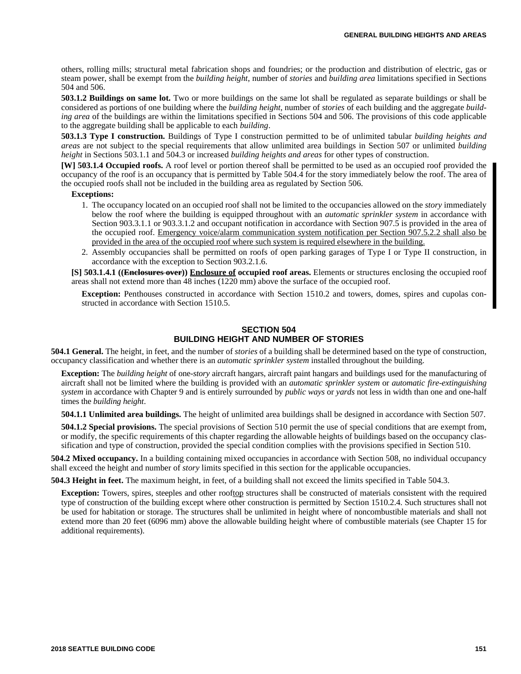others, rolling mills; structural metal fabrication shops and foundries; or the production and distribution of electric, gas or steam power, shall be exempt from the *building height*, number of *stories* and *building area* limitations specified in Sections 504 and 506.

**503.1.2 Buildings on same lot.** Two or more buildings on the same lot shall be regulated as separate buildings or shall be considered as portions of one building where the *building height*, number of *stories* of each building and the aggregate *building area* of the buildings are within the limitations specified in Sections 504 and 506. The provisions of this code applicable to the aggregate building shall be applicable to each *building*.

**503.1.3 Type I construction.** Buildings of Type I construction permitted to be of unlimited tabular *building heights and areas* are not subject to the special requirements that allow unlimited area buildings in Section 507 or unlimited *building height* in Sections 503.1.1 and 504.3 or increased *building heights and areas* for other types of construction.

**[W] 503.1.4 Occupied roofs.** A roof level or portion thereof shall be permitted to be used as an occupied roof provided the occupancy of the roof is an occupancy that is permitted by Table 504.4 for the story immediately below the roof. The area of the occupied roofs shall not be included in the building area as regulated by Section 506.

#### **Exceptions:**

- 1. The occupancy located on an occupied roof shall not be limited to the occupancies allowed on the *story* immediately below the roof where the building is equipped throughout with an *automatic sprinkler system* in accordance with Section 903.3.1.1 or 903.3.1.2 and occupant notification in accordance with Section 907.5 is provided in the area of the occupied roof. Emergency voice/alarm communication system notification per Section 907.5.2.2 shall also be provided in the area of the occupied roof where such system is required elsewhere in the building.
- 2. Assembly occupancies shall be permitted on roofs of open parking garages of Type I or Type II construction, in accordance with the exception to Section 903.2.1.6.

**[S] 503.1.4.1 ((Enclosures over)) Enclosure of occupied roof areas.** Elements or structures enclosing the occupied roof areas shall not extend more than 48 inches (1220 mm) above the surface of the occupied roof.

**Exception:** Penthouses constructed in accordance with Section 1510.2 and towers, domes, spires and cupolas constructed in accordance with Section 1510.5.

#### **SECTION 504 BUILDING HEIGHT AND NUMBER OF STORIES**

**504.1 General.** The height, in feet, and the number of *stories* of a building shall be determined based on the type of construction, occupancy classification and whether there is an *automatic sprinkler system* installed throughout the building.

**Exception:** The *building height* of one-*story* aircraft hangars, aircraft paint hangars and buildings used for the manufacturing of aircraft shall not be limited where the building is provided with an *automatic sprinkler system* or *automatic fire-extinguishing system* in accordance with Chapter 9 and is entirely surrounded by *public ways* or *yards* not less in width than one and one-half times the *building height*.

**504.1.1 Unlimited area buildings.** The height of unlimited area buildings shall be designed in accordance with Section 507.

**504.1.2 Special provisions.** The special provisions of Section 510 permit the use of special conditions that are exempt from, or modify, the specific requirements of this chapter regarding the allowable heights of buildings based on the occupancy classification and type of construction, provided the special condition complies with the provisions specified in Section 510.

**504.2 Mixed occupancy.** In a building containing mixed occupancies in accordance with Section 508, no individual occupancy shall exceed the height and number of *story* limits specified in this section for the applicable occupancies.

**504.3 Height in feet.** The maximum height, in feet, of a building shall not exceed the limits specified in Table 504.3.

**Exception:** Towers, spires, steeples and other rooftop structures shall be constructed of materials consistent with the required type of construction of the building except where other construction is permitted by Section 1510.2.4. Such structures shall not be used for habitation or storage. The structures shall be unlimited in height where of noncombustible materials and shall not extend more than 20 feet (6096 mm) above the allowable building height where of combustible materials (see Chapter 15 for additional requirements).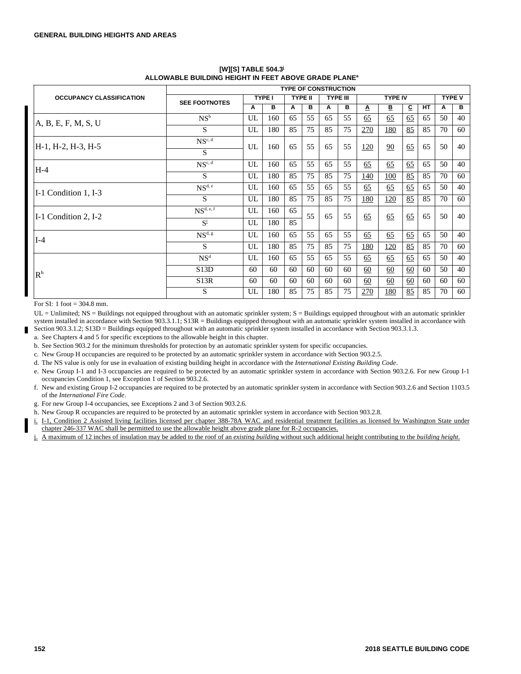|                                 |                      |    |               |    |                | <b>TYPE OF CONSTRUCTION</b> |    |             |               |    |    |    |    |
|---------------------------------|----------------------|----|---------------|----|----------------|-----------------------------|----|-------------|---------------|----|----|----|----|
| <b>OCCUPANCY CLASSIFICATION</b> | <b>SEE FOOTNOTES</b> |    | <b>TYPE I</b> |    | <b>TYPE II</b> | <b>TYPE III</b>             |    |             | <b>TYPE V</b> |    |    |    |    |
|                                 |                      |    | в             | Α  | в              | A                           | в  | Δ           | В             | c  | HТ | Α  | в  |
| A, B, E, F, M, S, U             | $NS^b$               | UL | 160           | 65 | 55             | 65                          | 55 | 65          | 65            | 65 | 65 | 50 | 40 |
|                                 | S                    | UL | 180           | 85 | 75             | 85                          | 75 | 270         | 180           | 85 | 85 | 70 | 60 |
| H-1, H-2, H-3, H-5              | $NS^{c, d}$          | UL | 160           | 65 | 55             | 65                          | 55 | 120         | 90            | 65 | 65 | 50 | 40 |
|                                 | S                    |    |               |    |                |                             |    |             |               |    |    |    |    |
| $H-4$                           | $NS^{c, d}$          | UL | 160           | 65 | 55             | 65                          | 55 | 65          | 65            | 65 | 65 | 50 | 40 |
|                                 | S                    | UL | 180           | 85 | 75             | 85                          | 75 | <u> 140</u> | <u>100</u>    | 85 | 85 | 70 | 60 |
| I-1 Condition 1, I-3            | $NS^{d, e}$          | UL | 160           | 65 | 55             | 65                          | 55 | 65          | 65            | 65 | 65 | 50 | 40 |
|                                 | S                    | UL | 180           | 85 | 75             | 85                          | 75 | <u>180</u>  | <u>120</u>    | 85 | 85 | 70 | 60 |
| I-1 Condition 2, I-2            | $NS^{d, e, f}$       | UL | 160           | 65 | 55             | 65                          | 55 | 65          | 65            | 65 | 65 | 50 | 40 |
|                                 | $S^i$                | UL | 180           | 85 |                |                             |    |             |               |    |    |    |    |
| $I-4$                           | $NS^{d, g}$          | UL | 160           | 65 | 55             | 65                          | 55 | 65          | 65            | 65 | 65 | 50 | 40 |
|                                 | S                    | UL | 180           | 85 | 75             | 85                          | 75 | 180         | <u>120</u>    | 85 | 85 | 70 | 60 |
|                                 | NS <sup>d</sup>      | UL | 160           | 65 | 55             | 65                          | 55 | 65          | 65            | 65 | 65 | 50 | 40 |
| $\mathbf{R}^{\text{h}}$         | S13D                 | 60 | 60            | 60 | 60             | 60                          | 60 | 60          | 60            | 60 | 60 | 50 | 40 |
|                                 | S13R                 | 60 | 60            | 60 | 60             | 60                          | 60 | 60          | 60            | 60 | 60 | 60 | 60 |
|                                 | S                    | UL | 180           | 85 | 75             | 85                          | 75 | <u>270</u>  | <u>180</u>    | 85 | 85 | 70 | 60 |

# **[W][S] TABLE 504.3<sup>j</sup> ALLOWABLE BUILDING HEIGHT IN FEET ABOVE GRADE PLANE<sup>a</sup>**

For SI: 1 foot = 304.8 mm.

UL = Unlimited; NS = Buildings not equipped throughout with an automatic sprinkler system; S = Buildings equipped throughout with an automatic sprinkler system installed in accordance with Section 903.3.1.1; S13R = Buildings equipped throughout with an automatic sprinkler system installed in accordance with Section 903.3.1.2; S13D = Buildings equipped throughout with an automatic sprinkler system installed in accordance with Section 903.3.1.3.

a. See Chapters 4 and 5 for specific exceptions to the allowable height in this chapter.

b. See Section 903.2 for the minimum thresholds for protection by an automatic sprinkler system for specific occupancies.

c. New Group H occupancies are required to be protected by an automatic sprinkler system in accordance with Section 903.2.5.

d. The NS value is only for use in evaluation of existing building height in accordance with the *International Existing Building Code*.

e. New Group I-1 and I-3 occupancies are required to be protected by an automatic sprinkler system in accordance with Section 903.2.6. For new Group I-1

- occupancies Condition 1, see Exception 1 of Section 903.2.6.
- f. New and existing Group I-2 occupancies are required to be protected by an automatic sprinkler system in accordance with Section 903.2.6 and Section 1103.5 of the *International Fire Code*.
- g. For new Group I-4 occupancies, see Exceptions 2 and 3 of Section 903.2.6.
- h. New Group R occupancies are required to be protected by an automatic sprinkler system in accordance with Section 903.2.8.
- i. I-1, Condition 2 Assisted living facilities licensed per chapter 388-78A WAC and residential treatment facilities as licensed by Washington State under chapter 246-337 WAC shall be permitted to use the allowable height above grade plane for R-2 occupancies.
- j. A maximum of 12 inches of insulation may be added to the roof of an *existing building* without such additional height contributing to the *building height*.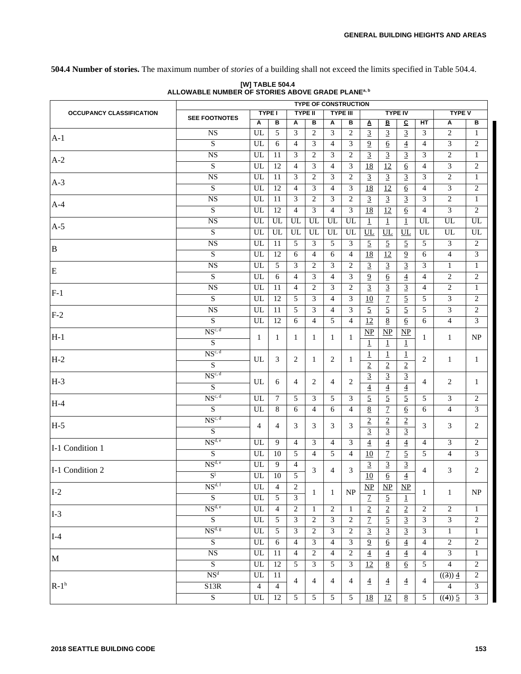**504.4 Number of stories.** The maximum number of *stories* of a building shall not exceed the limits specified in Table 504.4.

|                                 |                          |                |                                   |                | <b>TYPE OF CONSTRUCTION</b> |                |                  |                         |                        |                        |                |                          |                                 |  |
|---------------------------------|--------------------------|----------------|-----------------------------------|----------------|-----------------------------|----------------|------------------|-------------------------|------------------------|------------------------|----------------|--------------------------|---------------------------------|--|
| <b>OCCUPANCY CLASSIFICATION</b> | <b>SEE FOOTNOTES</b>     |                | <b>TYPE I</b>                     |                | <b>TYPE II</b>              |                | <b>TYPE III</b>  |                         |                        | <b>TYPE IV</b>         |                | <b>TYPE V</b>            |                                 |  |
|                                 |                          | Α              | в                                 | Α              | в                           | Α              | в                | $\overline{\mathbf{A}}$ | В                      | $\mathbf{C}$           | HT             | A                        | в                               |  |
| $A-1$                           | <b>NS</b>                | UL             | 5                                 | 3              | $\overline{2}$              | $\overline{3}$ | 2                | $\overline{3}$          | $\overline{3}$         | $\overline{3}$         | 3              | $\overline{c}$           | $\mathbf{1}$                    |  |
|                                 | $\overline{S}$           | UL             | 6                                 | $\overline{4}$ | 3                           | $\overline{4}$ | 3                | $\overline{9}$          | 6                      | $\overline{4}$         | $\overline{4}$ | 3                        | $\overline{c}$                  |  |
| $A-2$                           | <b>NS</b>                | UL             | 11                                | 3              | 2                           | 3              | 2                | $\overline{3}$          | $\overline{3}$         | $\overline{3}$         | 3              | $\overline{2}$           | $\mathbf{1}$                    |  |
|                                 | $\overline{S}$           | UL             | $\overline{12}$                   | $\overline{4}$ | 3                           | $\overline{4}$ | 3                | 18                      | $\overline{12}$        | $\underline{6}$        | $\overline{4}$ | $\overline{3}$           | 2                               |  |
| $A-3$                           | $_{\rm NS}$              | UL             | 11                                | 3              | $\overline{c}$              | 3              | 2                | $\overline{3}$          | $\overline{3}$         | $\overline{3}$         | 3              | $\overline{c}$           | $\mathbf{1}$                    |  |
|                                 | $\overline{S}$           | UL             | 12                                | $\overline{4}$ | $\overline{3}$              | $\overline{4}$ | $\overline{3}$   | $\overline{18}$         | $\overline{12}$        | $\underline{6}$        | $\overline{4}$ | 3                        | $\overline{c}$                  |  |
| $A-4$                           | <b>NS</b>                | UL             | 11                                | 3              | $\overline{2}$              | $\overline{3}$ | 2                | $\overline{3}$          | $\overline{3}$         | $\overline{3}$         | 3              | $\overline{c}$           | $\mathbf{1}$                    |  |
|                                 | $\overline{S}$           | UL             | 12                                | $\overline{4}$ | 3                           | $\overline{4}$ | $\overline{3}$   | $\overline{18}$         | 12                     | $6\overline{6}$        | $\overline{4}$ | 3                        | 2                               |  |
|                                 | <b>NS</b>                | UL             | UL                                | UL             | UL                          | UL             | UL               | $\mathbf 1$             | $\overline{1}$         | $\underline{1}$        | UL             | UL                       | UL                              |  |
| $A-5$                           | $\overline{S}$           | UL             | UL                                | UL             | UL                          | UL             | UL               | UL                      | UL                     | UL                     | UL             | UL                       | UL                              |  |
|                                 | $_{\rm NS}$              | UL             | 11                                | 5              | 3                           | 5              | 3                | $\overline{5}$          | $\overline{5}$         | $\overline{5}$         | 5              | 3                        | 2                               |  |
| $\, {\bf B}$                    | $\overline{S}$           | UL             | 12                                | 6              | $\overline{4}$              | 6              | $\overline{4}$   | $\overline{18}$         | $\overline{12}$        | $\overline{9}$         | 6              | $\overline{4}$           | 3                               |  |
|                                 | <b>NS</b>                | UL             | 5                                 | 3              | $\overline{2}$              | $\overline{3}$ | 2                | $\overline{3}$          | $\overline{3}$         | $\overline{3}$         | 3              | $\mathbf{1}$             | $\mathbf{1}$                    |  |
| $\mathbf E$                     | $\overline{S}$           | UL             | 6                                 | $\overline{4}$ | 3                           | $\overline{4}$ | 3                | $\overline{9}$          | $6\overline{6}$        | $\overline{4}$         | $\overline{4}$ | $\overline{c}$           | 2                               |  |
|                                 | <b>NS</b>                | UL             | 11                                | $\overline{4}$ | 2                           | 3              | 2                | $\overline{3}$          | $\overline{3}$         | $\overline{3}$         | $\overline{4}$ | $\overline{2}$           | $\mathbf{1}$                    |  |
| $F-1$                           | $\overline{\mathbf{S}}$  | UL             | 12                                | 5              | 3                           | $\overline{4}$ | 3                | 10                      | $\overline{1}$         | $\overline{5}$         | 5              | $\overline{3}$           | 2                               |  |
|                                 | $_{\rm NS}$              | UL             | 11                                | 5              | 3                           | $\overline{4}$ | 3                | $\overline{5}$          | $\overline{5}$         | $\overline{5}$         | 5              | 3                        | 2                               |  |
| $F-2$                           | $\overline{S}$           | UL             | 12                                | 6              | $\overline{4}$              | 5              | $\overline{4}$   | $\overline{12}$         | 8                      | $6\overline{6}$        | 6              | $\overline{4}$           | $\overline{3}$                  |  |
|                                 | $NS^{c, d}$              |                |                                   |                |                             |                |                  | $\overline{\text{NP}}$  | $\overline{\text{NP}}$ | $\overline{\text{MP}}$ |                |                          |                                 |  |
| $H-1$                           | ${\bf S}$                | 1              | 1                                 | 1              | 1                           | 1              | 1                |                         |                        |                        | 1              | $\mathbf{1}$             | $\ensuremath{\text{NP}}\xspace$ |  |
|                                 | $NS^{c, d}$              |                |                                   |                |                             |                |                  | $\perp$                 | $\perp$                | $\perp$                |                |                          |                                 |  |
| $H-2$                           |                          | UL             | 3                                 | 2              | 1                           | 2              | 1                | $\overline{1}$          | 1                      | $\overline{1}$         | 2              | $\mathbf{1}$             | $\mathbf{1}$                    |  |
|                                 | ${\bf S}$<br>$NS^{c, d}$ |                |                                   |                |                             |                |                  | $\overline{2}$          | $\overline{2}$         | $\overline{2}$         |                |                          |                                 |  |
| $H-3$                           |                          | UL             | 6                                 | 4              | 2                           | $\overline{4}$ | 2                | $\overline{3}$          | $\overline{3}$         | $\overline{3}$         | $\overline{4}$ | $\overline{c}$           | $\mathbf{1}$                    |  |
|                                 | $\overline{S}$           |                |                                   |                |                             |                |                  | $\overline{4}$          | $\overline{4}$         | $\overline{4}$         |                |                          |                                 |  |
| $H-4$                           | $NS^{c, d}$              | UL             | $7\phantom{.0}$                   | 5              | 3                           | 5              | 3                | $\overline{5}$          | $\overline{5}$         | $\overline{5}$         | 5              | 3                        | 2                               |  |
|                                 | $\overline{S}$           | UL             | 8                                 | 6              | $\overline{4}$              | 6              | $\overline{4}$   | $8\,$                   | $\overline{1}$         | $6\overline{6}$        | 6              | $\overline{4}$           | 3                               |  |
| $H-5$                           | $NS^{c, d}$              | $\overline{4}$ | $\overline{4}$                    | 3              | 3                           | 3              | 3                | $\overline{2}$          | $\overline{2}$         | $\overline{2}$         | 3              | 3                        | 2                               |  |
|                                 | $\overline{S}$           |                |                                   |                |                             |                |                  | $\overline{3}$          | $\overline{3}$         | $\overline{3}$         |                |                          |                                 |  |
| I-1 Condition 1                 | $NS^{d, e}$              | UL             | 9                                 | $\overline{4}$ | 3                           | $\overline{4}$ | 3                | $\overline{4}$          | $\overline{4}$         | $\overline{4}$         | 4              | 3                        | $\overline{c}$                  |  |
|                                 | S                        | UL             | 10                                | 5              | $\overline{4}$              | 5              | $\overline{4}$   | $\overline{10}$         | $\overline{1}$         | $\overline{5}$         | 5              | $\overline{4}$           | 3                               |  |
| I-1 Condition 2                 | $NS^{d,e}$               | UL             | 9                                 | $\overline{4}$ | 3                           | 4              | 3                | $\overline{3}$          | $\overline{3}$         | $\overline{3}$         | 4              | 3                        | 2                               |  |
|                                 | $S^{\frac{1}{2}}$        | ${\rm UL}$     | $\overline{10}$                   | 5              |                             |                |                  | $\overline{10}$         | $\overline{6}$         | $\overline{4}$         |                |                          |                                 |  |
| $I-2$                           | NS <sup>d, f</sup>       | UL             | 4                                 | $\overline{c}$ | 1                           | -1             | NP               | $\underline{\text{NP}}$ | $\mathbf{M}$           | $\overline{\text{MP}}$ | $\mathbf{1}$   | $\mathbf{1}$             | $\ensuremath{\text{NP}}\xspace$ |  |
|                                 | $\overline{S}$           | UL             | 5                                 | $\overline{3}$ |                             |                |                  | $\overline{1}$          | $\overline{5}$         | $\perp$                |                |                          |                                 |  |
| $I-3$                           | NS <sup>d, e</sup>       | ${\rm UL}$     | $\overline{4}$                    | 2              | 1                           | $\overline{c}$ | 1                | $\overline{2}$          | $\overline{2}$         | $\overline{2}$         | 2              | $\overline{c}$           | $\mathbf{1}$                    |  |
|                                 | $\overline{S}$           | UL             | $\overline{5}$                    | $\overline{3}$ | $\overline{2}$              | 3              | $\overline{2}$   | $\overline{1}$          | $\overline{5}$         | $\overline{3}$         | 3              | 3                        | $\overline{2}$                  |  |
|                                 | NS <sup>d, g</sup>       | UL             | 5                                 | 3              | $\overline{2}$              | 3              | 2                | $\overline{3}$          | $\overline{3}$         | $\overline{3}$         | 3              | $\mathbf{1}$             | $\mathbf{1}$                    |  |
| $I-4$                           | ${\bf S}$                | ${\rm UL}$     | 6                                 | 4              | 3                           | 4              | 3                | $\overline{9}$          | 6                      | $\overline{4}$         | $\overline{4}$ | $\overline{c}$           | 2                               |  |
|                                 | <b>NS</b>                | UL             | $\overline{11}$                   | $\overline{4}$ | $\overline{c}$              | $\overline{4}$ | $\boldsymbol{2}$ | $\overline{4}$          | $\overline{4}$         | $\overline{4}$         | $\overline{4}$ | 3                        | $\mathbf{1}$                    |  |
| M                               | $\overline{S}$           | UL             | 12                                | 5              | $\overline{3}$              | 5              | 3                | $\overline{12}$         | $\overline{8}$         | $\underline{6}$        | 5              | $\overline{\mathcal{L}}$ | $\overline{2}$                  |  |
|                                 | NS <sup>d</sup>          | UL             | 11                                |                |                             |                |                  |                         |                        |                        |                | ((3)) 4                  | $\overline{c}$                  |  |
| $R-1h$                          | S13R                     | $\overline{4}$ |                                   | 4              | $\overline{4}$              | 4              | 4                | $\overline{4}$          | $\overline{4}$         | $\overline{4}$         | 4              | $\overline{4}$           | 3                               |  |
|                                 | S                        | UL             | $\overline{4}$<br>$\overline{12}$ | 5              | 5                           | 5              | 5                | $\overline{18}$         | 12                     | $\overline{8}$         | 5              | $(4)$ ) 5                | $\overline{3}$                  |  |
|                                 |                          |                |                                   |                |                             |                |                  |                         |                        |                        |                |                          |                                 |  |

**[W] TABLE 504.4 ALLOWABLE NUMBER OF STORIES ABOVE GRADE PLANEa, b**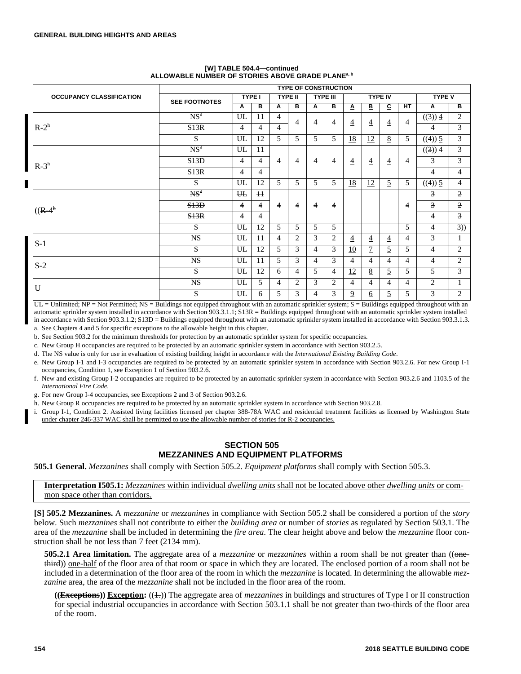|                                 |                      |                |                |   |                | <b>TYPE OF CONSTRUCTION</b> |                 |                         |                |                |                |                |                |
|---------------------------------|----------------------|----------------|----------------|---|----------------|-----------------------------|-----------------|-------------------------|----------------|----------------|----------------|----------------|----------------|
| <b>OCCUPANCY CLASSIFICATION</b> | <b>SEE FOOTNOTES</b> |                | <b>TYPE I</b>  |   | <b>TYPE II</b> |                             | <b>TYPE III</b> |                         |                | <b>TYPE IV</b> |                | <b>TYPE V</b>  |                |
|                                 |                      | A              | в              | A | в              | A                           | в               | $\overline{\mathbf{A}}$ | В              | C              | <b>HT</b>      | A              | в              |
|                                 | NS <sup>d</sup>      | UL             | 11             | 4 | 4              | $\overline{4}$              | 4               | $\overline{4}$          | 4              | 4              | 4              | $((3))$ 4      | 2              |
| $R-2h$                          | S13R                 | 4              | 4              | 4 |                |                             |                 |                         |                |                |                | 4              | 3              |
|                                 | S                    | UL             | 12             | 5 | 5              | 5                           | 5               | <u>18</u>               | 12             | 8              | 5              | $((4))$ 5      | 3              |
|                                 | NS <sup>d</sup>      | UL             | 11             |   |                |                             |                 |                         |                |                |                | $((3))$ 4      | 3              |
| $R-3^h$                         | S13D                 | 4              | $\overline{4}$ | 4 | 4              | $\overline{4}$              | $\overline{4}$  | $\overline{4}$          | $\overline{4}$ | $\overline{4}$ | 4              | 3              | 3              |
|                                 | S <sub>13</sub> R    | 4              | 4              |   |                |                             |                 |                         |                |                |                | 4              | 4              |
|                                 | S                    |                | 12             | 5 | 5              | 5                           | 5               | <u>18</u>               | 12             | 5              | 5              | ((4)) 5        | 4              |
|                                 | NS <sup>4</sup>      | $H_{\rm{H}}$   | $+1$           |   |                |                             |                 |                         |                |                |                | $\overline{3}$ | $\overline{2}$ |
| $((R-4)h)$                      | S13D                 | 4              | 4              | 4 | 4              | $\overline{4}$              | 4               |                         |                |                | 4              | 3              | $\overline{2}$ |
|                                 | S13R                 | 4              | 4              |   |                |                             |                 |                         |                |                |                | 4              | $\overline{3}$ |
|                                 | S                    | $H_{\text{L}}$ | $+2$           | 5 | 5              | 5                           | 5               |                         |                |                | 5              | 4              | 3))            |
| $S-1$                           | <b>NS</b>            | UL             | 11             | 4 | $\overline{c}$ | 3                           | $\overline{c}$  | 4                       | $\overline{4}$ | $\overline{4}$ | 4              | 3              |                |
|                                 | S                    | UL             | 12             | 5 | 3              | $\overline{4}$              | 3               | 10                      | 7              | 5              | 5              | 4              | $\overline{2}$ |
| $S-2$                           | <b>NS</b>            | UL             | 11             | 5 | 3              | 4                           | 3               | 4                       | $\overline{4}$ | $\overline{4}$ | $\overline{4}$ | 4              | 2              |
|                                 | S                    | UL             | 12             | 6 | 4              | 5                           | 4               | 12                      | 8              | 5              | 5              | 5              | 3              |
| U                               | <b>NS</b>            | UL             | 5              | 4 | 2              | 3                           | 2               | 4                       | 4              | $\overline{4}$ | 4              | $\overline{c}$ |                |
|                                 | S                    | UL             | 6              | 5 | 3              | 4                           | 3               | $\overline{9}$          | 6              | 5              | 5              | 3              | 2              |

#### **[W] TABLE 504.4—continued ALLOWABLE NUMBER OF STORIES ABOVE GRADE PLANEa, b**

 $UL =$  Unlimited;  $NP =$  Not Permitted;  $NS =$  Buildings not equipped throughout with an automatic sprinkler system;  $S =$  Buildings equipped throughout with an automatic sprinkler system installed in accordance with Section 903.3.1.1; S13R = Buildings equipped throughout with an automatic sprinkler system installed in accordance with Section 903.3.1.2; S13D = Buildings equipped throughout with an automatic sprinkler system installed in accordance with Section 903.3.1.3.

a. See Chapters 4 and 5 for specific exceptions to the allowable height in this chapter.

b. See Section 903.2 for the minimum thresholds for protection by an automatic sprinkler system for specific occupancies.

c. New Group H occupancies are required to be protected by an automatic sprinkler system in accordance with Section 903.2.5.

d. The NS value is only for use in evaluation of existing building height in accordance with the *International Existing Building Code*.

e. New Group I-1 and I-3 occupancies are required to be protected by an automatic sprinkler system in accordance with Section 903.2.6. For new Group I-1 occupancies, Condition 1, see Exception 1 of Section 903.2.6.

f. New and existing Group I-2 occupancies are required to be protected by an automatic sprinkler system in accordance with Section 903.2.6 and 1103.5 of the *International Fire Code*.

g. For new Group I-4 occupancies, see Exceptions 2 and 3 of Section 903.2.6.

h. New Group R occupancies are required to be protected by an automatic sprinkler system in accordance with Section 903.2.8.

Group I-1, Condition 2. Assisted living facilities licensed per chapter 388-78A WAC and residential treatment facilities as licensed by Washington State under chapter 246-337 WAC shall be permitted to use the allowable number of stories for R-2 occupancies.

## **SECTION 505 MEZZANINES AND EQUIPMENT PLATFORMS**

**505.1 General.** *Mezzanines* shall comply with Section 505.2. *Equipment platforms* shall comply with Section 505.3.

**Interpretation I505.1:** *Mezzanines* within individual *dwelling units* shall not be located above other *dwelling units* or common space other than corridors.

**[S] 505.2 Mezzanines.** A *mezzanine* or *mezzanines* in compliance with Section 505.2 shall be considered a portion of the *story* below. Such *mezzanines* shall not contribute to either the *building area* or number of *stories* as regulated by Section 503.1. The area of the *mezzanine* shall be included in determining the *fire area*. The clear height above and below the *mezzanine* floor construction shall be not less than 7 feet (2134 mm).

**505.2.1 Area limitation.** The aggregate area of a *mezzanine* or *mezzanines* within a room shall be not greater than (( $\Theta$ nethird)) one-half of the floor area of that room or space in which they are located. The enclosed portion of a room shall not be included in a determination of the floor area of the room in which the *mezzanine* is located. In determining the allowable *mezzanine* area, the area of the *mezzanine* shall not be included in the floor area of the room.

**((Exceptions)) Exception:** ((1.)) The aggregate area of *mezzanines* in buildings and structures of Type I or II construction for special industrial occupancies in accordance with Section 503.1.1 shall be not greater than two-thirds of the floor area of the room.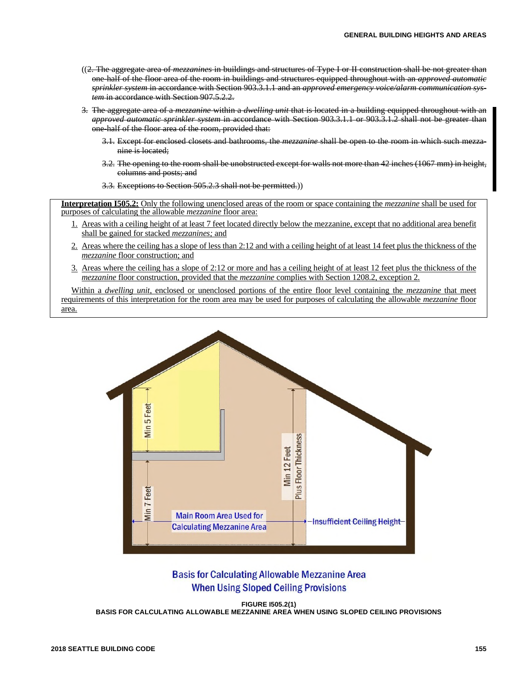- ((2. The aggregate area of *mezzanines* in buildings and structures of Type I or II construction shall be not greater than one-half of the floor area of the room in buildings and structures equipped throughout with an *approved automatic sprinkler system* in accordance with Section 903.3.1.1 and an *approved emergency voice/alarm communication system* in accordance with Section 907.5.2.2.
- 3. The aggregate area of a *mezzanine* within a *dwelling unit* that is located in a building equipped throughout with an *approved automatic sprinkler system* in accordance with Section 903.3.1.1 or 903.3.1.2 shall not be greater than one-half of the floor area of the room, provided that:
	- 3.1. Except for enclosed closets and bathrooms, the *mezzanine* shall be open to the room in which such mezzanine is located;
	- 3.2. The opening to the room shall be unobstructed except for walls not more than 42 inches (1067 mm) in height, columns and posts; and
	- 3.3. Exceptions to Section 505.2.3 shall not be permitted.))

**Interpretation I505.2:** Only the following unenclosed areas of the room or space containing the *mezzanine* shall be used for purposes of calculating the allowable *mezzanine* floor area:

- 1. Areas with a ceiling height of at least 7 feet located directly below the mezzanine, except that no additional area benefit shall be gained for stacked *mezzanines;* and
- 2. Areas where the ceiling has a slope of less than 2:12 and with a ceiling height of at least 14 feet plus the thickness of the *mezzanine* floor construction; and
- 3. Areas where the ceiling has a slope of 2:12 or more and has a ceiling height of at least 12 feet plus the thickness of the *mezzanine* floor construction, provided that the *mezzanine* complies with Section 1208.2, exception 2.

Within a *dwelling unit,* enclosed or unenclosed portions of the entire floor level containing the *mezzanine* that meet requirements of this interpretation for the room area may be used for purposes of calculating the allowable *mezzanine* floor area.



# **Basis for Calculating Allowable Mezzanine Area When Using Sloped Ceiling Provisions**

**FIGURE I505.2(1) BASIS FOR CALCULATING ALLOWABLE MEZZANINE AREA WHEN USING SLOPED CEILING PROVISIONS**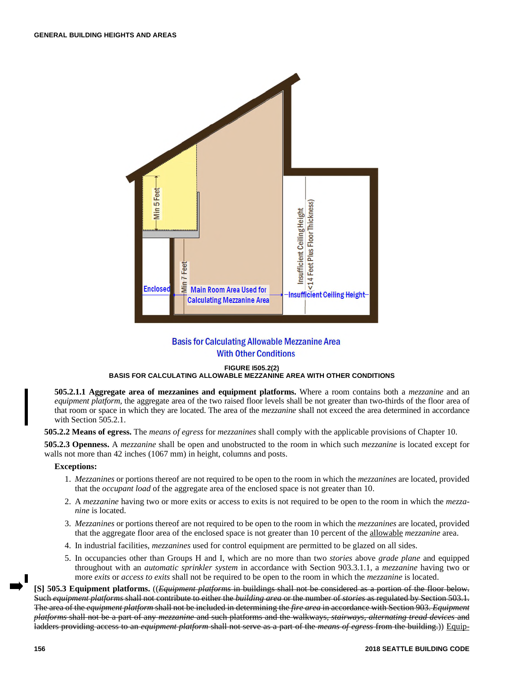

# **Basis for Calculating Allowable Mezzanine Area With Other Conditions**

#### **FIGURE I505.2(2)**

## **BASIS FOR CALCULATING ALLOWABLE MEZZANINE AREA WITH OTHER CONDITIONS**

**505.2.1.1 Aggregate area of mezzanines and equipment platforms.** Where a room contains both a *mezzanine* and an *equipment platform,* the aggregate area of the two raised floor levels shall be not greater than two-thirds of the floor area of that room or space in which they are located. The area of the *mezzanine* shall not exceed the area determined in accordance with Section 505.2.1.

**505.2.2 Means of egress.** The *means of egress* for *mezzanines* shall comply with the applicable provisions of Chapter 10.

**505.2.3 Openness.** A *mezzanine* shall be open and unobstructed to the room in which such *mezzanine* is located except for walls not more than 42 inches (1067 mm) in height, columns and posts.

#### **Exceptions:**

- 1. *Mezzanines* or portions thereof are not required to be open to the room in which the *mezzanines* are located, provided that the *occupant load* of the aggregate area of the enclosed space is not greater than 10.
- 2. A *mezzanine* having two or more exits or access to exits is not required to be open to the room in which the *mezzanine* is located.
- 3. *Mezzanines* or portions thereof are not required to be open to the room in which the *mezzanines* are located, provided that the aggregate floor area of the enclosed space is not greater than 10 percent of the allowable *mezzanine* area.
- 4. In industrial facilities, *mezzanines* used for control equipment are permitted to be glazed on all sides.
- 5. In occupancies other than Groups H and I, which are no more than two *stories* above *grade plane* and equipped throughout with an *automatic sprinkler system* in accordance with Section 903.3.1.1, a *mezzanine* having two or more *exits* or *access to exits* shall not be required to be open to the room in which the *mezzanine* is located.

**[S] 505.3 Equipment platforms.** ((*Equipment platforms* in buildings shall not be considered as a portion of the floor below. Such *equipment platforms* shall not contribute to either the *building area* or the number of *stories* as regulated by Section 503.1. The area of the *equipment platform* shall not be included in determining the *fire area* in accordance with Section 903. *Equipment platforms* shall not be a part of any *mezzanine* and such platforms and the walkways, *stairways, alternating tread devices* and ladders providing access to an *equipment platform* shall not serve as a part of the *means of egress* from the building.)) Equip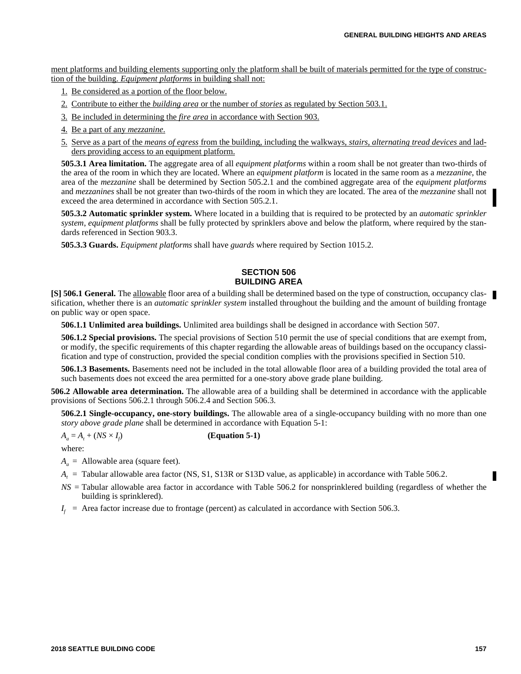ment platforms and building elements supporting only the platform shall be built of materials permitted for the type of construction of the building. *Equipment platforms* in building shall not:

- 1. Be considered as a portion of the floor below.
- 2. Contribute to either the *building area* or the number of *stories* as regulated by Section 503.1.
- 3. Be included in determining the *fire area* in accordance with Section 903.
- 4. Be a part of any *mezzanine*.
- 5. Serve as a part of the *means of egress* from the building, including the walkways, *stairs, alternating tread devices* and ladders providing access to an equipment platform.

**505.3.1 Area limitation.** The aggregate area of all *equipment platforms* within a room shall be not greater than two-thirds of the area of the room in which they are located. Where an *equipment platform* is located in the same room as a *mezzanine*, the area of the *mezzanine* shall be determined by Section 505.2.1 and the combined aggregate area of the *equipment platforms* and *mezzanines* shall be not greater than two-thirds of the room in which they are located. The area of the *mezzanine* shall not exceed the area determined in accordance with Section 505.2.1.

**505.3.2 Automatic sprinkler system.** Where located in a building that is required to be protected by an *automatic sprinkler system*, *equipment platforms* shall be fully protected by sprinklers above and below the platform, where required by the standards referenced in Section 903.3.

**505.3.3 Guards.** *Equipment platforms* shall have *guards* where required by Section 1015.2.

# **SECTION 506 BUILDING AREA**

**[S] 506.1 General.** The allowable floor area of a building shall be determined based on the type of construction, occupancy classification, whether there is an *automatic sprinkler system* installed throughout the building and the amount of building frontage on public way or open space.

**506.1.1 Unlimited area buildings.** Unlimited area buildings shall be designed in accordance with Section 507.

**506.1.2 Special provisions.** The special provisions of Section 510 permit the use of special conditions that are exempt from, or modify, the specific requirements of this chapter regarding the allowable areas of buildings based on the occupancy classification and type of construction, provided the special condition complies with the provisions specified in Section 510.

**506.1.3 Basements.** Basements need not be included in the total allowable floor area of a building provided the total area of such basements does not exceed the area permitted for a one-story above grade plane building.

**506.2 Allowable area determination.** The allowable area of a building shall be determined in accordance with the applicable provisions of Sections 506.2.1 through 506.2.4 and Section 506.3.

**506.2.1 Single-occupancy, one-story buildings.** The allowable area of a single-occupancy building with no more than one *story above grade plane* shall be determined in accordance with Equation 5-1:

$$
A_a = A_t + (NS \times I_f)
$$

) **(Equation 5-1)**

where:

 $A_a$  = Allowable area (square feet).

*A<sup>t</sup>* = Tabular allowable area factor (NS, S1, S13R or S13D value, as applicable) in accordance with Table 506.2.

- *NS* = Tabular allowable area factor in accordance with Table 506.2 for nonsprinklered building (regardless of whether the building is sprinklered).
- $I_f$  = Area factor increase due to frontage (percent) as calculated in accordance with Section 506.3.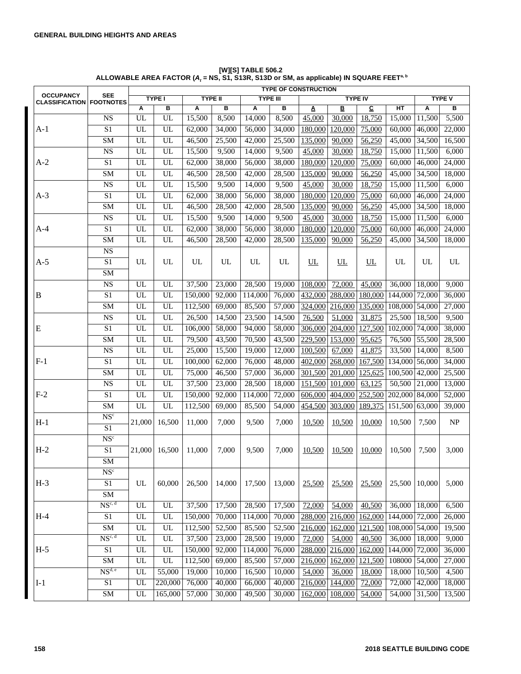|                                                     |                          |            |                 |         |                |                 |        | <b>TYPE OF CONSTRUCTION</b> |                |                         |                             |                     |        |
|-----------------------------------------------------|--------------------------|------------|-----------------|---------|----------------|-----------------|--------|-----------------------------|----------------|-------------------------|-----------------------------|---------------------|--------|
| <b>OCCUPANCY</b><br><b>CLASSIFICATION FOOTNOTES</b> | SEE                      |            | <b>TYPE I</b>   |         | <b>TYPE II</b> | <b>TYPE III</b> |        |                             | <b>TYPE IV</b> |                         | <b>TYPE V</b>               |                     |        |
|                                                     |                          | Α          | в               | Α       | в              | Α               | в      | A                           | B              | $\overline{\mathbf{c}}$ | HT                          | Α                   | в      |
|                                                     | <b>NS</b>                | UL         | UL              | 15,500  | 8,500          | 14,000          | 8,500  | 45,000                      | 30,000         | 18,750                  | 15,000                      | 11,500              | 5,500  |
| $A-1$                                               | S <sub>1</sub>           | UL         | UL              | 62,000  | 34,000         | 56,000          | 34,000 | 180,000                     | 120,000        | 75,000                  | 60,000                      | 46,000              | 22,000 |
|                                                     | <b>SM</b>                | UL         | UL              | 46,500  | 25,500         | 42,000          | 25,500 | 135,000                     | 90,000         | 56,250                  | 45,000                      | 34,500              | 16,500 |
|                                                     | <b>NS</b>                | UL         | UL              | 15,500  | 9,500          | 14,000          | 9,500  | 45,000                      | 30,000         | 18,750                  | 15,000                      | 11,500              | 6,000  |
| $A-2$                                               | S1                       | UL         | UL              | 62,000  | 38,000         | 56,000          | 38,000 | 180,000                     | 120,000        | 75,000                  | 60,000                      | 46,000              | 24,000 |
|                                                     | <b>SM</b>                | UL         | $UL$            | 46,500  | 28,500         | 42,000          | 28,500 | 135,000                     | 90,000         | 56,250                  | 45,000                      | 34,500              | 18,000 |
|                                                     | <b>NS</b>                | UL         | $\overline{UL}$ | 15,500  | 9,500          | 14,000          | 9,500  | 45,000                      | 30,000         | 18,750                  | 15,000                      | 11,500              | 6,000  |
| $A-3$                                               | S1                       | UL         | UL              | 62,000  | 38,000         | 56,000          | 38,000 | 180,000                     | 120,000        | 75,000                  | 60,000                      | 46,000              | 24,000 |
|                                                     | <b>SM</b>                | UL         | UL              | 46,500  | 28,500         | 42,000          | 28,500 | 135,000                     | 90,000         | 56,250                  | 45,000                      | 34,500              | 18,000 |
|                                                     | <b>NS</b>                | UL         | UL              | 15,500  | 9,500          | 14,000          | 9,500  | 45,000                      | 30,000         | 18,750                  | 15,000                      | 11,500              | 6,000  |
| $A-4$                                               | S1                       | UL         | UL              | 62,000  | 38,000         | 56,000          | 38,000 | 180,000                     | 120,000        | 75,000                  | 60,000                      | 46,000              | 24,000 |
|                                                     | <b>SM</b>                | UL         | UL              | 46,500  | 28,500         | 42,000          | 28,500 | 135,000                     | 90,000         | 56,250                  | 45,000                      | 34,500              | 18,000 |
|                                                     | <b>NS</b>                |            |                 |         |                |                 |        |                             |                |                         |                             |                     |        |
| $A-5$                                               | S1                       | UL         | UL              | UL      | UL             | UL              | UL     | UL                          | UL             | UL                      | UL                          | UL                  | UL     |
|                                                     | <b>SM</b>                |            |                 |         |                |                 |        |                             |                |                         |                             |                     |        |
|                                                     | <b>NS</b>                | UL         | UL              | 37,500  | 23,000         | 28,500          | 19,000 | 108,000                     | 72,000         | 45,000                  | 36,000                      | 18,000              | 9,000  |
| B                                                   | $\overline{S1}$          | UL         | UL              | 150,000 | 92,000         | 114,000         | 76,000 | 432,000                     | 288,000        | 180,000                 | 144,000                     | 72,000              | 36,000 |
|                                                     | <b>SM</b>                | UL         | $UL$            | 112,500 | 69,000         | 85,500          | 57,000 | 324,000                     | 216,000        | 135,000                 | 108,000 54,000              |                     | 27,000 |
|                                                     | <b>NS</b>                | UL         | $\overline{UL}$ | 26,500  | 14,500         | 23,500          | 14,500 | 76,500                      | 51,000         | 31,875                  | 25,500                      | 18,500              | 9,500  |
| ${\bf E}$                                           | S1                       | UL         | UL              | 106,000 | 58,000         | 94,000          | 58,000 | 306,000                     | 204,000        | 127,500                 | 102,000                     | 74,000              | 38,000 |
|                                                     | <b>SM</b>                | UL         | UL              | 79,500  | 43,500         | 70,500          | 43,500 | 229,500                     | 153,000        | 95,625                  | 76,500                      | 55,500              | 28,500 |
|                                                     | <b>NS</b>                | UL         | UL              | 25,000  | 15,500         | 19,000          | 12,000 | 100,500                     | 67,000         | 41,875                  | 33,500                      | 14,000              | 8,500  |
| $F-1$                                               | S1                       | UL         | UL              | 100,000 | 62,000         | 76,000          | 48,000 | 402,000                     | 268,000        | 167,500                 | 134,000                     | 56,000              | 34,000 |
|                                                     | <b>SM</b>                | UL         | $UL$            | 75,000  | 46,500         | 57,000          | 36,000 | 301,500                     | 201,000        | 125,625                 | 100,500                     | $\overline{42,000}$ | 25,500 |
|                                                     | <b>NS</b>                | UL         | $\overline{UL}$ | 37,500  | 23,000         | 28,500          | 18,000 | 151,500                     | 101,000        | 63,125                  | 50,500                      | 21,000              | 13,000 |
| $F-2$                                               | $\overline{S1}$          | UL         | UL              | 150,000 | 92,000         | 114,000         | 72,000 | 606,000                     | 404,000        | 252,500                 | 202,000 84,000              |                     | 52,000 |
|                                                     | <b>SM</b>                | UL         | $UL$            | 112,500 | 69,000         | 85,500          | 54,000 | 454,500                     | 303,000        | 189,375                 | 151,500 63,000              |                     | 39,000 |
| $H-1$                                               | $\overline{\text{NS}^c}$ | 21,000     | 16,500          | 11,000  | 7,000          | 9,500           | 7,000  | 10,500                      | 10,500         | 10,000                  | 10,500                      | 7,500               | NP     |
|                                                     | S1                       |            |                 |         |                |                 |        |                             |                |                         |                             |                     |        |
|                                                     | NS <sup>c</sup>          |            |                 |         |                |                 |        |                             |                |                         |                             |                     |        |
| $H-2$                                               | $\overline{S1}$          | 21,000     | 16,500          | 11,000  | 7,000          | 9,500           | 7,000  | 10,500                      | 10,500         | 10,000                  | 10,500                      | 7,500               | 3,000  |
|                                                     | <b>SM</b>                |            |                 |         |                |                 |        |                             |                |                         |                             |                     |        |
|                                                     | $\overline{\text{NS}^c}$ |            |                 |         |                |                 |        |                             |                |                         |                             |                     |        |
| $H-3$                                               | $\overline{S1}$          | UL         | 60,000          | 26.500  | 14,000         | 17,500          | 13,000 | 25,500                      | 25,500         | 25,500                  | 25,500                      | 10.000              | 5,000  |
|                                                     | <b>SM</b>                |            |                 |         |                |                 |        |                             |                |                         |                             |                     |        |
|                                                     | $NS^{c, d}$              | UL         | UL              | 37,500  | 17,500         | 28,500          | 17,500 | 72,000                      | 54,000         | 40,500                  | 36,000                      | 18,000              | 6,500  |
| $H-4$                                               | $\overline{S1}$          | UL         | UL              | 150,000 | 70,000         | 114,000         | 70,000 | 288,000                     | 216,000        | 162,000                 | 144,000 72,000              |                     | 26,000 |
|                                                     | $\overline{\text{SM}}$   | UL         | UL              | 112,500 | 52,500         | 85,500          | 52,500 | 216,000                     | 162,000        | 121,500                 | 108,000 54,000              |                     | 19,500 |
|                                                     | $NS^{c, d}$              | UL         | UL              | 37,500  | 23,000         | 28,500          | 19,000 | 72,000                      | 54,000         | 40,500                  | 36,000                      | 18,000              | 9,000  |
| $H-5$                                               | $\rm S1$                 | ${\rm UL}$ | UL              | 150,000 | 92,000         | 114,000         | 76,000 | 288,000                     | 216,000        | 162,000                 | $\overline{144,000}$ 72,000 |                     | 36,000 |
|                                                     | $\overline{\text{SM}}$   | UL         | UL              | 112,500 | 69,000         | 85,500          | 57,000 | 216,000                     | 162,000        | 121,500                 | 108000                      | 54,000              | 27,000 |
|                                                     | NS <sup>d, e</sup>       | UL         | 55,000          | 19,000  | 10,000         | 16,500          | 10,000 | 54,000                      | 36,000         | 18,000                  | 18,000                      | 10,500              | 4,500  |
| $I-1$                                               | $\overline{S1}$          | UL         | 220,000         | 76,000  | 40,000         | 66,000          | 40,000 | 216,000                     | 144,000        | 72,000                  | 72,000                      | 42,000              | 18,000 |
|                                                     | $\overline{\text{SM}}$   | UL         | 165,000         | 57,000  | 30,000         | 49,500          | 30,000 | 162,000                     | 108,000        | 54,000                  | 54,000                      | 31,500              | 13,500 |

**[W][S] TABLE 506.2 ALLOWABLE AREA FACTOR (***A<sup>t</sup>*  **= NS, S1, S13R, S13D or SM, as applicable) IN SQUARE FEETa, b**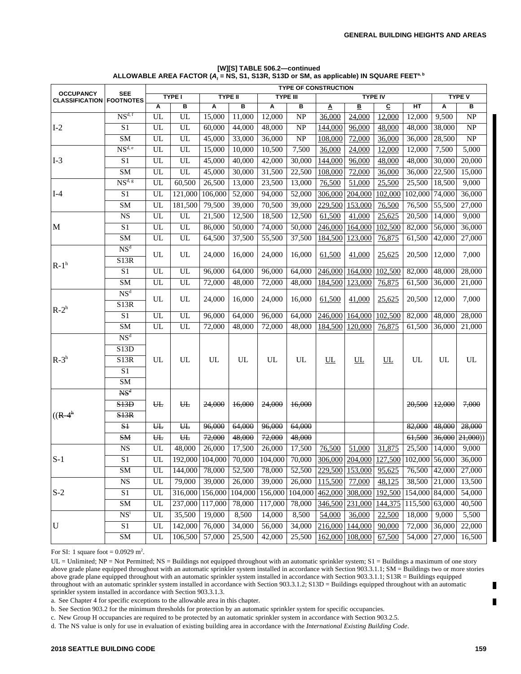| <b>OCCUPANCY</b>      | <b>SEE</b>               |                            |                 |         |                     |         |                 | <b>TYPE OF CONSTRUCTION</b> |                        |                |                |               |                  |  |
|-----------------------|--------------------------|----------------------------|-----------------|---------|---------------------|---------|-----------------|-----------------------------|------------------------|----------------|----------------|---------------|------------------|--|
| <b>CLASSIFICATION</b> | <b>FOOTNOTES</b>         |                            | <b>TYPE I</b>   |         | <b>TYPE II</b>      |         | <b>TYPE III</b> |                             |                        | <b>TYPE IV</b> |                | <b>TYPE V</b> |                  |  |
|                       |                          | Α                          | В               | Α       | в                   | Α       | в               | Δ                           | В                      | c              | НT             | A             | в                |  |
|                       | NS <sup>d, f</sup>       | UL                         | <b>UL</b>       | 15,000  | 11,000              | 12,000  | <b>NP</b>       | 36,000                      | 24,000                 | 12,000         | 12,000         | 9,500         | NP               |  |
| $I-2$                 | S <sub>1</sub>           | UL                         | UL              | 60,000  | 44,000              | 48,000  | <b>NP</b>       | 144,000                     | 96,000                 | 48,000         | 48,000         | 38,000        | <b>NP</b>        |  |
|                       | SM                       | UL                         | $\overline{UL}$ | 45,000  | 33,000              | 36,000  | <b>NP</b>       | 108,000                     | 72,000                 | 36,000         | 36,000         | 28,500        | NP               |  |
|                       | $NS^{d,e}$               | UL                         | <b>UL</b>       | 15,000  | 10,000              | 10,500  | 7,500           | 36,000                      | 24,000                 | 12,000         | 12,000         | 7,500         | 5,000            |  |
| $I-3$                 | S <sub>1</sub>           | UL                         | UL              | 45,000  | 40,000              | 42,000  | 30,000          | 144,000                     | 96,000                 | 48,000         | 48,000         | 30,000        | 20,000           |  |
|                       | SM                       | UL                         | UL              | 45,000  | 30,000              | 31,500  | 22,500          | 108,000                     | 72,000                 | 36,000         | 36,000         | 22,500        | 15,000           |  |
|                       | NS <sup>d, g</sup>       | UL                         | 60,500          | 26,500  | 13,000              | 23,500  | 13,000          | 76,500                      | 51,000                 | 25,500         | 25,500         | 18,500        | 9,000            |  |
| $I-4$                 | S <sub>1</sub>           | UL                         | 121,000         | 106,000 | $\overline{52,000}$ | 94,000  | 52,000          | 306,000                     | 204,000                | 102,000        | 102,000        | 74,000        | 36,000           |  |
|                       | SM                       | UL                         | 181,500         | 79,500  | 39,000              | 70,500  | 39,000          | 229,500                     | 153,000                | 76,500         | 76,500         | 55,500        | 27,000           |  |
|                       | <b>NS</b>                | UL                         | <b>UL</b>       | 21,500  | 12,500              | 18,500  | 12,500          | 61,500                      | 41,000                 | 25,625         | 20,500         | 14,000        | 9,000            |  |
| M                     | $\overline{S1}$          | UL                         | UL              | 86,000  | 50,000              | 74,000  | 50,000          | 246,000                     | 164,000                | 102,500        | 82,000         | 56,000        | 36,000           |  |
|                       | <b>SM</b>                | UL                         | UL              | 64,500  | 37,500              | 55,500  | 37,500          | 184,500                     | 123,000                | 76,875         | 61,500         | 42,000        | 27,000           |  |
|                       | NS <sup>d</sup>          | UL                         | UL              |         |                     |         |                 |                             |                        | 25,625         |                |               |                  |  |
| $R-1h$                | S13R                     |                            |                 | 24,000  | 16,000              | 24,000  | 16,000          | 61,500                      | 41,000                 |                | 20,500         | 12,000        | 7,000            |  |
|                       | $\overline{S1}$          | UL                         | UL              | 96,000  | 64,000              | 96,000  | 64,000          | 246,000                     | 164,000                | 102,500        | 82,000         | 48,000        | 28,000           |  |
|                       | SM                       | UL                         | UL              | 72,000  | 48,000              | 72,000  | 48,000          | 184,500                     | 123,000                | 76,875         | 61,500         | 36,000        | 21,000           |  |
| $R-2h$                | NS <sup>d</sup>          | UL                         | UL              |         |                     |         |                 |                             |                        | 25,625         |                | 12,000        | 7.000            |  |
|                       | S13R                     |                            |                 | 24,000  | 16,000              | 24,000  | 16,000          | 61,500                      | 41,000                 |                | 20,500         |               |                  |  |
|                       | S1                       | UL                         | UL              | 96,000  | 64,000              | 96,000  | 64,000          | 246,000                     | 164,000                | 102,500        | 82,000         | 48,000        | 28,000           |  |
|                       | SM                       | $\ensuremath{\mathrm{UL}}$ | $UL$            | 72,000  | 48,000              | 72,000  | 48,000          | 184,500                     | 120,000                | 76,875         | 61,500         | 36,000        | 21,000           |  |
|                       | NS <sup>d</sup>          |                            |                 |         |                     |         |                 |                             |                        |                |                |               |                  |  |
|                       | S13D                     |                            |                 | UL      | UL                  |         |                 | UL                          | UL                     | UL             | UL             |               |                  |  |
| $R-3h$                | S13R                     | UL                         | UL              |         |                     | UL      | UL              |                             |                        |                |                | UL            | UL               |  |
|                       | S1                       |                            |                 |         |                     |         |                 |                             |                        |                |                |               |                  |  |
|                       | SM                       |                            |                 |         |                     |         |                 |                             |                        |                |                |               |                  |  |
|                       | $\overline{\text{MS}}_q$ |                            |                 |         |                     |         |                 |                             |                        |                |                |               |                  |  |
|                       | S13D                     | $H_{\text{L}}$             | $H_{\rm{H}}$    | 24,000  | 16,000              | 24,000  | 16,000          |                             |                        |                | 20.500         | 12,000        | 7,000            |  |
| $((R-4^h)$            | S13R                     |                            |                 |         |                     |         |                 |                             |                        |                |                |               |                  |  |
|                       | $S+$                     | $H_{\text{L}}$             | $H_{\rm{H}}$    | 96,000  | 64,000              | 96,000  | 64,000          |                             |                        |                | 82,000         | 48,000        | 28,000           |  |
|                       | <b>SM</b>                | $H_{\rm{L}}$               | $H_{\rm{H}}$    | 72,000  | 48,000              | 72,000  | 48,000          |                             |                        |                | 61,500         | 36,000        | $\sqrt{21,000})$ |  |
|                       | <b>NS</b>                | UL                         | 48,000          | 26,000  | 17,500              | 26,000  | 17,500          | 76.500                      | 51,000                 | 31,875         | 25,500         | 14,000        | 9,000            |  |
| $S-1$                 | S1                       | $\ensuremath{\mathrm{UL}}$ | 192,000         | 104,000 | 70,000              | 104,000 | 70,000          | 306,000                     | 204,000                | 127,500        | 102,000 56,000 |               | 36,000           |  |
|                       | SM                       | UL                         | 144,000         | 78,000  | 52,500              | 78,000  |                 |                             | 52,500 229,500 153,000 | 95,625         |                | 76,500 42,000 | 27,000           |  |
|                       | $\overline{\text{NS}}$   | UL                         | 79,000          | 39,000  | 26,000              | 39,000  | 26,000          | 115,500                     | 77,000                 | 48,125         | 38,500         | 21,000        | 13,500           |  |
| $S-2$                 | $\overline{S1}$          | UL                         | 316,000         | 156,000 | 104,000             | 156,000 |                 | 104,000 462,000             | 308,000                | 192,500        | 154,000 84,000 |               | 54,000           |  |
|                       | SM                       | UL                         | 237,000         | 117,000 | 78,000              | 117,000 | 78,000          | 346,500                     | 231,000                | 144,375        | 115,500        | 63,000        | 40,500           |  |
|                       | NS <sup>i</sup>          | UL                         | 35,500          | 19,000  | 8,500               | 14,000  | 8,500           | 54,000                      | 36,000                 | 22,500         | 18,000         | 9,000         | 5,500            |  |
| U                     | $\overline{S1}$          | UL                         | 142,000         | 76,000  | 34,000              | 56,000  | 34,000          | 216,000                     | 144,000                | 90,000         | 72,000         | 36,000        | 22,000           |  |
|                       | ${\rm SM}$               | UL                         | 106,500         | 57,000  | 25,500              | 42,000  | 25,500          | 162,000                     | 108,000                | 67,500         | 54,000         | 27,000        | 16,500           |  |
|                       |                          |                            |                 |         |                     |         |                 |                             |                        |                |                |               |                  |  |

**[W][S] TABLE 506.2—continued ALLOWABLE AREA FACTOR (***A<sup>t</sup>*  **= NS, S1, S13R, S13D or SM, as applicable) IN SQUARE FEETa, b**

For SI: 1 square foot =  $0.0929$  m<sup>2</sup>.

 $UL =$  Unlimited;  $NP =$  Not Permitted;  $NS =$  Buildings not equipped throughout with an automatic sprinkler system;  $S1 =$  Buildings a maximum of one story above grade plane equipped throughout with an automatic sprinkler system installed in accordance with Section 903.3.1.1; SM = Buildings two or more stories above grade plane equipped throughout with an automatic sprinkler system installed in accordance with Section 903.3.1.1; S13R = Buildings equipped throughout with an automatic sprinkler system installed in accordance with Section 903.3.1.2; S13D = Buildings equipped throughout with an automatic sprinkler system installed in accordance with Section 903.3.1.3.

a. See Chapter 4 for specific exceptions to the allowable area in this chapter.

b. See Section 903.2 for the minimum thresholds for protection by an automatic sprinkler system for specific occupancies.

c. New Group H occupancies are required to be protected by an automatic sprinkler system in accordance with Section 903.2.5.

d. The NS value is only for use in evaluation of existing building area in accordance with the *International Existing Building Code*.

Г Г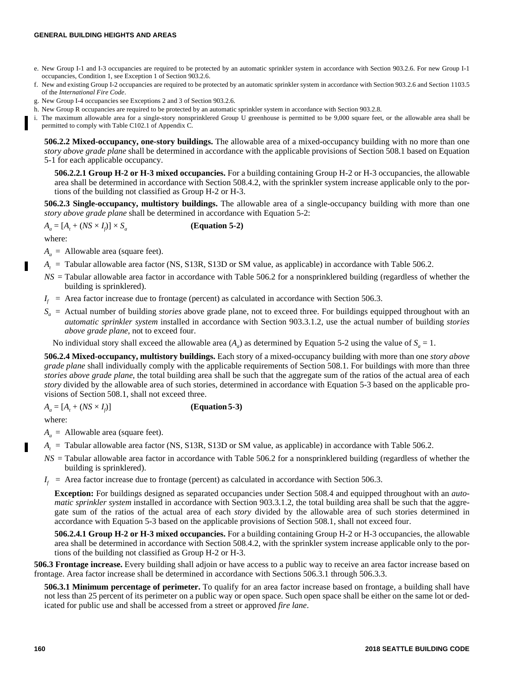#### **GENERAL BUILDING HEIGHTS AND AREAS**

- e. New Group I-1 and I-3 occupancies are required to be protected by an automatic sprinkler system in accordance with Section 903.2.6. For new Group I-1 occupancies, Condition 1, see Exception 1 of Section 903.2.6.
- f. New and existing Group I-2 occupancies are required to be protected by an automatic sprinkler system in accordance with Section 903.2.6 and Section 1103.5 of the *International Fire Code*.
- g. New Group I-4 occupancies see Exceptions 2 and 3 of Section 903.2.6.
- h. New Group R occupancies are required to be protected by an automatic sprinkler system in accordance with Section 903.2.8.
- i. The maximum allowable area for a single-story nonsprinklered Group U greenhouse is permitted to be 9,000 square feet, or the allowable area shall be permitted to comply with Table C102.1 of Appendix C.

**506.2.2 Mixed-occupancy, one-story buildings.** The allowable area of a mixed-occupancy building with no more than one *story above grade plane* shall be determined in accordance with the applicable provisions of Section 508.1 based on Equation 5-1 for each applicable occupancy.

**506.2.2.1 Group H-2 or H-3 mixed occupancies.** For a building containing Group H-2 or H-3 occupancies, the allowable area shall be determined in accordance with Section 508.4.2, with the sprinkler system increase applicable only to the portions of the building not classified as Group H-2 or H-3.

**506.2.3 Single-occupancy, multistory buildings.** The allowable area of a single-occupancy building with more than one *story above grade plane* shall be determined in accordance with Equation 5-2:

 $A_a = [A_t + (NS \times I_f)] \times S_a$ **(Equation 5-2)**

where:

Г

- $A_a$  = Allowable area (square feet).
- *A<sup>t</sup>* = Tabular allowable area factor (NS, S13R, S13D or SM value, as applicable) in accordance with Table 506.2.
- *NS* = Tabular allowable area factor in accordance with Table 506.2 for a nonsprinklered building (regardless of whether the building is sprinklered).
- $I_f$  = Area factor increase due to frontage (percent) as calculated in accordance with Section 506.3.
- $S_a$  = Actual number of building *stories* above grade plane, not to exceed three. For buildings equipped throughout with an *automatic sprinkler system* installed in accordance with Section 903.3.1.2, use the actual number of building *stories above grade plane*, not to exceed four.

No individual story shall exceed the allowable area  $(A_a)$  as determined by Equation 5-2 using the value of  $S_a = 1$ .

**506.2.4 Mixed-occupancy, multistory buildings.** Each story of a mixed-occupancy building with more than one *story above grade plane* shall individually comply with the applicable requirements of Section 508.1. For buildings with more than three *stories above grade plane*, the total building area shall be such that the aggregate sum of the ratios of the actual area of each *story* divided by the allowable area of such stories, determined in accordance with Equation 5-3 based on the applicable provisions of Section 508.1, shall not exceed three.

 $A_a = [A_t + (NS \times I_t)]$ )] **(Equation 5-3)**

where:

 $A_a$  = Allowable area (square feet).

- *A<sup>t</sup>* = Tabular allowable area factor (NS, S13R, S13D or SM value, as applicable) in accordance with Table 506.2.
- *NS* = Tabular allowable area factor in accordance with Table 506.2 for a nonsprinklered building (regardless of whether the building is sprinklered).
- $I_f$  = Area factor increase due to frontage (percent) as calculated in accordance with Section 506.3.

**Exception:** For buildings designed as separated occupancies under Section 508.4 and equipped throughout with an *automatic sprinkler system* installed in accordance with Section 903.3.1.2, the total building area shall be such that the aggregate sum of the ratios of the actual area of each *story* divided by the allowable area of such stories determined in accordance with Equation 5-3 based on the applicable provisions of Section 508.1, shall not exceed four.

**506.2.4.1 Group H-2 or H-3 mixed occupancies.** For a building containing Group H-2 or H-3 occupancies, the allowable area shall be determined in accordance with Section 508.4.2, with the sprinkler system increase applicable only to the portions of the building not classified as Group H-2 or H-3.

**506.3 Frontage increase.** Every building shall adjoin or have access to a public way to receive an area factor increase based on frontage. Area factor increase shall be determined in accordance with Sections 506.3.1 through 506.3.3.

**506.3.1 Minimum percentage of perimeter.** To qualify for an area factor increase based on frontage, a building shall have not less than 25 percent of its perimeter on a public way or open space. Such open space shall be either on the same lot or dedicated for public use and shall be accessed from a street or approved *fire lane*.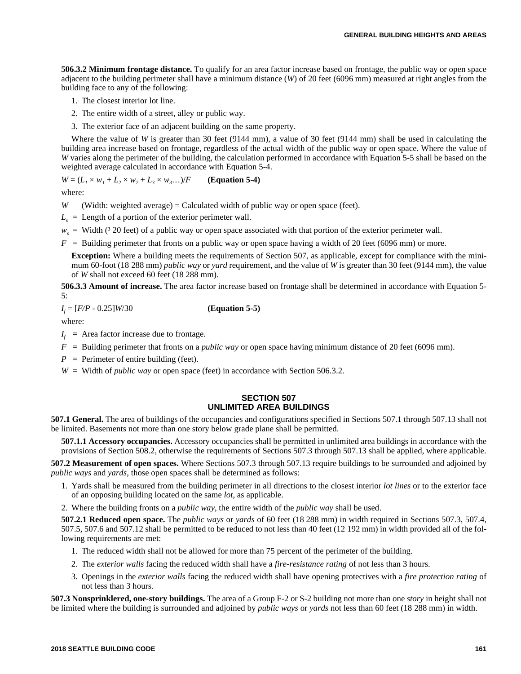**506.3.2 Minimum frontage distance.** To qualify for an area factor increase based on frontage, the public way or open space adjacent to the building perimeter shall have a minimum distance (*W*) of 20 feet (6096 mm) measured at right angles from the building face to any of the following:

- 1. The closest interior lot line.
- 2. The entire width of a street, alley or public way.
- 3. The exterior face of an adjacent building on the same property.

Where the value of *W* is greater than 30 feet (9144 mm), a value of 30 feet (9144 mm) shall be used in calculating the building area increase based on frontage, regardless of the actual width of the public way or open space. Where the value of *W* varies along the perimeter of the building, the calculation performed in accordance with Equation 5-5 shall be based on the weighted average calculated in accordance with Equation 5-4.

$$
W = (L_1 \times w_1 + L_2 \times w_2 + L_3 \times w_3...)/F
$$
 (Equation 5-4)

where:

*W* (Width: weighted average) = Calculated width of public way or open space (feet).

 $L_n$  = Length of a portion of the exterior perimeter wall.

 $w<sub>n</sub>$  = Width ( $3\,20$  feet) of a public way or open space associated with that portion of the exterior perimeter wall.

 $F =$  Building perimeter that fronts on a public way or open space having a width of 20 feet (6096 mm) or more.

**Exception:** Where a building meets the requirements of Section 507, as applicable, except for compliance with the minimum 60-foot (18 288 mm) *public way* or *yard* requirement, and the value of *W* is greater than 30 feet (9144 mm), the value of *W* shall not exceed 60 feet (18 288 mm).

**506.3.3 Amount of increase.** The area factor increase based on frontage shall be determined in accordance with Equation 5- 5:

*I f* = [*F/P* - 0.25]*W*/30 **(Equation 5-5)**

where:

 $I_f$  = Area factor increase due to frontage.

- *F* = Building perimeter that fronts on a *public way* or open space having minimum distance of 20 feet (6096 mm).
- $P =$  Perimeter of entire building (feet).
- *W* = Width of *public way* or open space (feet) in accordance with Section 506.3.2.

# **SECTION 507 UNLIMITED AREA BUILDINGS**

**507.1 General.** The area of buildings of the occupancies and configurations specified in Sections 507.1 through 507.13 shall not be limited. Basements not more than one story below grade plane shall be permitted.

**507.1.1 Accessory occupancies.** Accessory occupancies shall be permitted in unlimited area buildings in accordance with the provisions of Section 508.2, otherwise the requirements of Sections 507.3 through 507.13 shall be applied, where applicable.

**507.2 Measurement of open spaces.** Where Sections 507.3 through 507.13 require buildings to be surrounded and adjoined by *public ways* and *yards*, those open spaces shall be determined as follows:

1. Yards shall be measured from the building perimeter in all directions to the closest interior *lot lines* or to the exterior face of an opposing building located on the same *lot*, as applicable.

2. Where the building fronts on a *public way*, the entire width of the *public way* shall be used.

**507.2.1 Reduced open space.** The *public ways* or *yards* of 60 feet (18 288 mm) in width required in Sections 507.3, 507.4, 507.5, 507.6 and 507.12 shall be permitted to be reduced to not less than 40 feet (12 192 mm) in width provided all of the following requirements are met:

- 1. The reduced width shall not be allowed for more than 75 percent of the perimeter of the building.
- 2. The *exterior walls* facing the reduced width shall have a *fire-resistance rating* of not less than 3 hours.
- 3. Openings in the *exterior walls* facing the reduced width shall have opening protectives with a *fire protection rating* of not less than 3 hours.

**507.3 Nonsprinklered, one-story buildings.** The area of a Group F-2 or S-2 building not more than one *story* in height shall not be limited where the building is surrounded and adjoined by *public ways* or *yards* not less than 60 feet (18 288 mm) in width.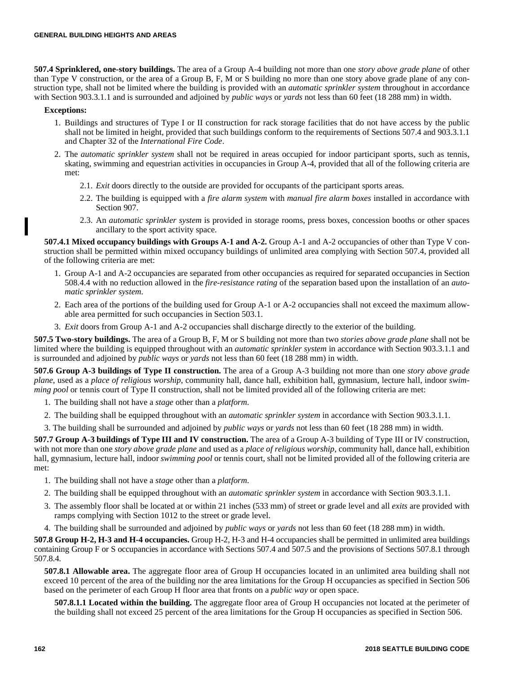**507.4 Sprinklered, one-story buildings.** The area of a Group A-4 building not more than one *story above grade plane* of other than Type V construction, or the area of a Group B, F, M or S building no more than one story above grade plane of any construction type, shall not be limited where the building is provided with an *automatic sprinkler system* throughout in accordance with Section 903.3.1.1 and is surrounded and adjoined by *public ways* or *yards* not less than 60 feet (18 288 mm) in width.

#### **Exceptions:**

- 1. Buildings and structures of Type I or II construction for rack storage facilities that do not have access by the public shall not be limited in height, provided that such buildings conform to the requirements of Sections 507.4 and 903.3.1.1 and Chapter 32 of the *International Fire Code*.
- 2. The *automatic sprinkler system* shall not be required in areas occupied for indoor participant sports, such as tennis, skating, swimming and equestrian activities in occupancies in Group A-4, provided that all of the following criteria are met:
	- 2.1. *Exit* doors directly to the outside are provided for occupants of the participant sports areas.
	- 2.2. The building is equipped with a *fire alarm system* with *manual fire alarm boxes* installed in accordance with Section 907.
	- 2.3. An *automatic sprinkler system* is provided in storage rooms, press boxes, concession booths or other spaces ancillary to the sport activity space.

**507.4.1 Mixed occupancy buildings with Groups A-1 and A-2.** Group A-1 and A-2 occupancies of other than Type V construction shall be permitted within mixed occupancy buildings of unlimited area complying with Section 507.4, provided all of the following criteria are met:

- 1. Group A-1 and A-2 occupancies are separated from other occupancies as required for separated occupancies in Section 508.4.4 with no reduction allowed in the *fire-resistance rating* of the separation based upon the installation of an *automatic sprinkler system*.
- 2. Each area of the portions of the building used for Group A-1 or A-2 occupancies shall not exceed the maximum allowable area permitted for such occupancies in Section 503.1.
- 3. *Exit* doors from Group A-1 and A-2 occupancies shall discharge directly to the exterior of the building.

**507.5 Two-story buildings.** The area of a Group B, F, M or S building not more than two *stories above grade plane* shall not be limited where the building is equipped throughout with an *automatic sprinkler system* in accordance with Section 903.3.1.1 and is surrounded and adjoined by *public ways* or *yards* not less than 60 feet (18 288 mm) in width.

**507.6 Group A-3 buildings of Type II construction.** The area of a Group A-3 building not more than one *story above grade plane*, used as a *place of religious worship*, community hall, dance hall, exhibition hall, gymnasium, lecture hall, indoor *swimming pool* or tennis court of Type II construction, shall not be limited provided all of the following criteria are met:

- 1. The building shall not have a *stage* other than a *platform*.
- 2. The building shall be equipped throughout with an *automatic sprinkler system* in accordance with Section 903.3.1.1.
- 3. The building shall be surrounded and adjoined by *public ways* or *yards* not less than 60 feet (18 288 mm) in width.

**507.7 Group A-3 buildings of Type III and IV construction.** The area of a Group A-3 building of Type III or IV construction, with not more than one *story above grade plane* and used as a *place of religious worship*, community hall, dance hall, exhibition hall, gymnasium, lecture hall, indoor *swimming pool* or tennis court, shall not be limited provided all of the following criteria are met:

- 1. The building shall not have a *stage* other than a *platform*.
- 2. The building shall be equipped throughout with an *automatic sprinkler system* in accordance with Section 903.3.1.1.
- 3. The assembly floor shall be located at or within 21 inches (533 mm) of street or grade level and all *exits* are provided with ramps complying with Section 1012 to the street or grade level.
- 4. The building shall be surrounded and adjoined by *public ways* or *yards* not less than 60 feet (18 288 mm) in width.

**507.8 Group H-2, H-3 and H-4 occupancies.** Group H-2, H-3 and H-4 occupancies shall be permitted in unlimited area buildings containing Group F or S occupancies in accordance with Sections 507.4 and 507.5 and the provisions of Sections 507.8.1 through 507.8.4.

**507.8.1 Allowable area.** The aggregate floor area of Group H occupancies located in an unlimited area building shall not exceed 10 percent of the area of the building nor the area limitations for the Group H occupancies as specified in Section 506 based on the perimeter of each Group H floor area that fronts on a *public way* or open space.

**507.8.1.1 Located within the building.** The aggregate floor area of Group H occupancies not located at the perimeter of the building shall not exceed 25 percent of the area limitations for the Group H occupancies as specified in Section 506.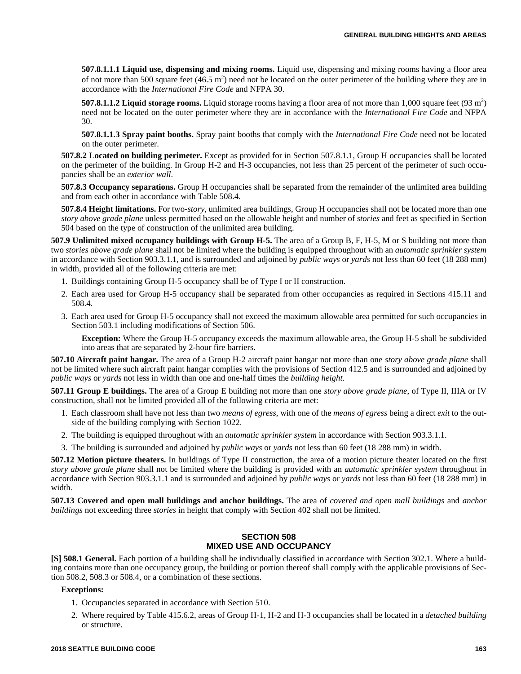**507.8.1.1.1 Liquid use, dispensing and mixing rooms.** Liquid use, dispensing and mixing rooms having a floor area of not more than 500 square feet  $(46.5 \text{ m}^2)$  need not be located on the outer perimeter of the building where they are in accordance with the *International Fire Code* and NFPA 30.

**507.8.1.1.2 Liquid storage rooms.** Liquid storage rooms having a floor area of not more than 1,000 square feet (93 m<sup>2</sup>) need not be located on the outer perimeter where they are in accordance with the *International Fire Code* and NFPA 30.

**507.8.1.1.3 Spray paint booths.** Spray paint booths that comply with the *International Fire Code* need not be located on the outer perimeter.

**507.8.2 Located on building perimeter.** Except as provided for in Section 507.8.1.1, Group H occupancies shall be located on the perimeter of the building. In Group H-2 and H-3 occupancies, not less than 25 percent of the perimeter of such occupancies shall be an *exterior wall*.

**507.8.3 Occupancy separations.** Group H occupancies shall be separated from the remainder of the unlimited area building and from each other in accordance with Table 508.4.

**507.8.4 Height limitations.** For two-*story,* unlimited area buildings, Group H occupancies shall not be located more than one *story above grade plane* unless permitted based on the allowable height and number of *stories* and feet as specified in Section 504 based on the type of construction of the unlimited area building.

**507.9 Unlimited mixed occupancy buildings with Group H-5.** The area of a Group B, F, H-5, M or S building not more than two *stories above grade plane* shall not be limited where the building is equipped throughout with an *automatic sprinkler system* in accordance with Section 903.3.1.1, and is surrounded and adjoined by *public ways* or *yards* not less than 60 feet (18 288 mm) in width, provided all of the following criteria are met:

- 1. Buildings containing Group H-5 occupancy shall be of Type I or II construction.
- 2. Each area used for Group H-5 occupancy shall be separated from other occupancies as required in Sections 415.11 and 508.4.
- 3. Each area used for Group H-5 occupancy shall not exceed the maximum allowable area permitted for such occupancies in Section 503.1 including modifications of Section 506.

**Exception:** Where the Group H-5 occupancy exceeds the maximum allowable area, the Group H-5 shall be subdivided into areas that are separated by 2-hour fire barriers.

**507.10 Aircraft paint hangar.** The area of a Group H-2 aircraft paint hangar not more than one *story above grade plane* shall not be limited where such aircraft paint hangar complies with the provisions of Section 412.5 and is surrounded and adjoined by *public ways* or *yards* not less in width than one and one-half times the *building height*.

**507.11 Group E buildings.** The area of a Group E building not more than one *story above grade plane*, of Type II, IIIA or IV construction, shall not be limited provided all of the following criteria are met:

- 1. Each classroom shall have not less than two *means of egress*, with one of the *means of egress* being a direct *exit* to the outside of the building complying with Section 1022.
- 2. The building is equipped throughout with an *automatic sprinkler system* in accordance with Section 903.3.1.1.
- 3. The building is surrounded and adjoined by *public ways* or *yards* not less than 60 feet (18 288 mm) in width.

**507.12 Motion picture theaters.** In buildings of Type II construction, the area of a motion picture theater located on the first *story above grade plane* shall not be limited where the building is provided with an *automatic sprinkler system* throughout in accordance with Section 903.3.1.1 and is surrounded and adjoined by *public ways* or *yards* not less than 60 feet (18 288 mm) in width.

**507.13 Covered and open mall buildings and anchor buildings.** The area of *covered and open mall buildings* and *anchor buildings* not exceeding three *stories* in height that comply with Section 402 shall not be limited.

#### **SECTION 508 MIXED USE AND OCCUPANCY**

**[S] 508.1 General.** Each portion of a building shall be individually classified in accordance with Section 302.1. Where a building contains more than one occupancy group, the building or portion thereof shall comply with the applicable provisions of Section 508.2, 508.3 or 508.4, or a combination of these sections.

#### **Exceptions:**

- 1. Occupancies separated in accordance with Section 510.
- 2. Where required by Table 415.6.2, areas of Group H-1, H-2 and H-3 occupancies shall be located in a *detached building* or structure.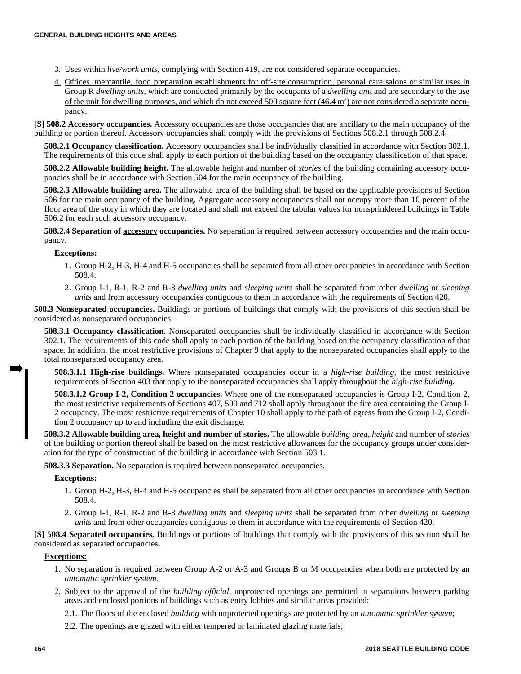- 3. Uses within *live/work units*, complying with Section 419, are not considered separate occupancies.
- 4. Offices, mercantile, food preparation establishments for off-site consumption, personal care salons or similar uses in Group R *dwelling units,* which are conducted primarily by the occupants of a *dwelling unit* and are secondary to the use of the unit for dwelling purposes, and which do not exceed 500 square feet  $(46.4 \text{ m}^2)$  are not considered a separate occupancy.

**[S] 508.2 Accessory occupancies.** Accessory occupancies are those occupancies that are ancillary to the main occupancy of the building or portion thereof. Accessory occupancies shall comply with the provisions of Sections 508.2.1 through 508.2.4.

**508.2.1 Occupancy classification.** Accessory occupancies shall be individually classified in accordance with Section 302.1. The requirements of this code shall apply to each portion of the building based on the occupancy classification of that space.

**508.2.2 Allowable building height.** The allowable height and number of *stories* of the building containing accessory occupancies shall be in accordance with Section 504 for the main occupancy of the building.

**508.2.3 Allowable building area.** The allowable area of the building shall be based on the applicable provisions of Section 506 for the main occupancy of the building. Aggregate accessory occupancies shall not occupy more than 10 percent of the floor area of the story in which they are located and shall not exceed the tabular values for nonsprinklered buildings in Table 506.2 for each such accessory occupancy.

**508.2.4 Separation of accessory occupancies.** No separation is required between accessory occupancies and the main occupancy.

#### **Exceptions:**

- 1. Group H-2, H-3, H-4 and H-5 occupancies shall be separated from all other occupancies in accordance with Section 508.4.
- 2. Group I-1, R-1, R-2 and R-3 *dwelling units* and *sleeping units* shall be separated from other *dwelling* or *sleeping units* and from accessory occupancies contiguous to them in accordance with the requirements of Section 420.

**508.3 Nonseparated occupancies.** Buildings or portions of buildings that comply with the provisions of this section shall be considered as nonseparated occupancies.

**508.3.1 Occupancy classification.** Nonseparated occupancies shall be individually classified in accordance with Section 302.1. The requirements of this code shall apply to each portion of the building based on the occupancy classification of that space. In addition, the most restrictive provisions of Chapter 9 that apply to the nonseparated occupancies shall apply to the total nonseparated occupancy area.

**508.3.1.1 High-rise buildings.** Where nonseparated occupancies occur in a *high-rise building,* the most restrictive requirements of Section 403 that apply to the nonseparated occupancies shall apply throughout the *high-rise building.*

**508.3.1.2 Group I-2, Condition 2 occupancies.** Where one of the nonseparated occupancies is Group I-2, Condition 2, the most restrictive requirements of Sections 407, 509 and 712 shall apply throughout the fire area containing the Group I-2 occupancy. The most restrictive requirements of Chapter 10 shall apply to the path of egress from the Group I-2, Condition 2 occupancy up to and including the exit discharge.

**508.3.2 Allowable building area, height and number of stories.** The allowable *building area, height* and number of *stories* of the building or portion thereof shall be based on the most restrictive allowances for the occupancy groups under consideration for the type of construction of the building in accordance with Section 503.1.

**508.3.3 Separation.** No separation is required between nonseparated occupancies.

#### **Exceptions:**

- 1. Group H-2, H-3, H-4 and H-5 occupancies shall be separated from all other occupancies in accordance with Section 508.4.
- 2. Group I-1, R-1, R-2 and R-3 *dwelling units* and *sleeping units* shall be separated from other *dwelling* or *sleeping units* and from other occupancies contiguous to them in accordance with the requirements of Section 420.

**[S] 508.4 Separated occupancies.** Buildings or portions of buildings that comply with the provisions of this section shall be considered as separated occupancies.

#### **Exceptions:**

- 1. No separation is required between Group A-2 or A-3 and Groups B or M occupancies when both are protected by an *automatic sprinkler system*.
- 2. Subject to the approval of the *building official*, unprotected openings are permitted in separations between parking areas and enclosed portions of buildings such as entry lobbies and similar areas provided:

2.1. The floors of the enclosed *building* with unprotected openings are protected by an *automatic sprinkler system*;

2.2. The openings are glazed with either tempered or laminated glazing materials;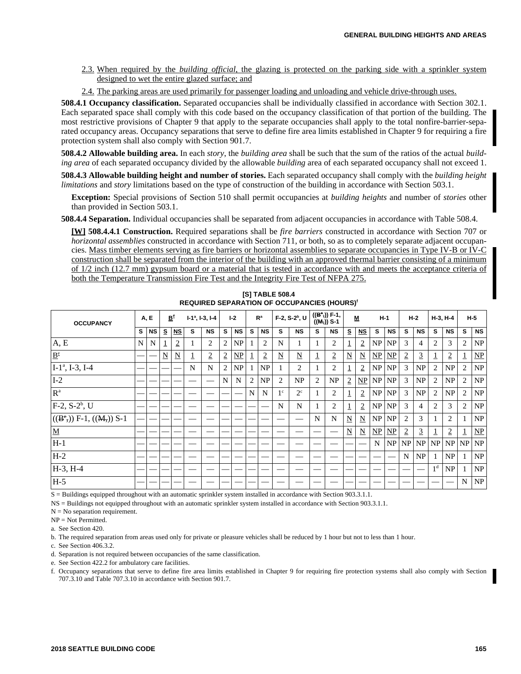- 2.3. When required by the *building official*, the glazing is protected on the parking side with a sprinkler system designed to wet the entire glazed surface; and
- 2.4. The parking areas are used primarily for passenger loading and unloading and vehicle drive-through uses.

**508.4.1 Occupancy classification.** Separated occupancies shall be individually classified in accordance with Section 302.1. Each separated space shall comply with this code based on the occupancy classification of that portion of the building. The most restrictive provisions of Chapter 9 that apply to the separate occupancies shall apply to the total nonfire-barrier-separated occupancy areas. Occupancy separations that serve to define fire area limits established in Chapter 9 for requiring a fire protection system shall also comply with Section 901.7.

**508.4.2 Allowable building area.** In each *story*, the *building area* shall be such that the sum of the ratios of the actual *building area* of each separated occupancy divided by the allowable *building* area of each separated occupancy shall not exceed 1.

**508.4.3 Allowable building height and number of stories.** Each separated occupancy shall comply with the *building height limitations* and *story* limitations based on the type of construction of the building in accordance with Section 503.1.

**Exception:** Special provisions of Section 510 shall permit occupancies at *building heights* and number of *stories* other than provided in Section 503.1.

**508.4.4 Separation.** Individual occupancies shall be separated from adjacent occupancies in accordance with Table 508.4.

**[W] 508.4.4.1 Construction.** Required separations shall be *fire barriers* constructed in accordance with Section 707 or *horizontal assemblies* constructed in accordance with Section 711, or both, so as to completely separate adjacent occupancies. Mass timber elements serving as fire barriers or horizontal assemblies to separate occupancies in Type IV-B or IV-C construction shall be separated from the interior of the building with an approved thermal barrier consisting of a minimum of 1/2 inch (12.7 mm) gypsum board or a material that is tested in accordance with and meets the acceptance criteria of both the Temperature Transmission Fire Test and the Integrity Fire Test of NFPA 275.

| <b>OCCUPANCY</b>          |   | A, E      |                         | B <sup>e</sup>          |    | $I-1^a$ , $I-3$ , $I-4$ | $1-2$          |               | R <sup>a</sup> |                | F-2, S-2 <sup>b</sup> , U |                        | $((B^{\circ},))$ F-1,<br>$((M_1))$ S-1 |                | M                        |                         | $H-1$         |                 | $H-2$          |                | $H-3, H-4$     |                |   | $H-5$                   |
|---------------------------|---|-----------|-------------------------|-------------------------|----|-------------------------|----------------|---------------|----------------|----------------|---------------------------|------------------------|----------------------------------------|----------------|--------------------------|-------------------------|---------------|-----------------|----------------|----------------|----------------|----------------|---|-------------------------|
|                           | s | <b>NS</b> | S                       | $NS$                    | s. | <b>NS</b>               | s              | <b>NS</b>     | s              | <b>NS</b>      | s                         | <b>NS</b>              | s                                      | <b>NS</b>      | s                        | $NS$                    | s             | <b>NS</b>       | s              | <b>NS</b>      | s              | <b>NS</b>      | s | <b>NS</b>               |
| A, E                      | N | N         | 1                       | $\overline{2}$          |    | 2                       | 2              | NP            |                | $\overline{2}$ | N                         |                        |                                        | 2              | 1                        | $\overline{2}$          | NP            | NP              | 3              | $\overline{4}$ | 2              | 3              | 2 | NP                      |
| $\mathbf{B}^\text{e}$     |   |           | $\overline{\mathbf{N}}$ | $\overline{\mathbf{N}}$ | T, | $\overline{2}$          | $\overline{2}$ | $\mathbf{NP}$ | $\perp$        | $\overline{2}$ | $\overline{\mathbf{N}}$   | $\underline{\text{N}}$ | ┹                                      | $\overline{2}$ | $\overline{\mathbf{N}}$  | $\overline{\mathbf{N}}$ | NP            | $\mathbf{NP}$   | $\overline{2}$ | 3              |                | $\overline{2}$ |   | $\underline{\text{NP}}$ |
| $I-1^a$ , I-3, I-4        |   |           |                         |                         | N  | $\mathbf N$             | 2              | NP            |                | NP             |                           | 2                      |                                        | 2              | $\perp$                  | $\overline{2}$          | NP            | NP              | 3              | NP             | 2              | NP             | 2 | NP                      |
| $I-2$                     |   |           |                         |                         |    |                         | N              | N             | $\overline{2}$ | NP             | 2                         | NP                     | 2                                      | NP             | $\overline{2}$           |                         | $NP$ $NP$     | NP <sub>1</sub> | 3              | NP             | 2              | NP             | 2 | NP                      |
| R <sup>a</sup>            |   |           |                         |                         |    |                         |                |               | N              | N              | 1 <sup>c</sup>            | $2^{\circ}$            |                                        | 2              | $\overline{1}$           | $\overline{2}$          | NP            | NP              | 3              | NP             | 2              | NP             | 2 | NP                      |
| $F-2$ , $S-2^b$ , U       |   |           |                         |                         |    |                         |                |               |                |                | N                         | N                      |                                        | 2              | $\mathbf{1}$             | $\overline{2}$          | NP            | NP              | 3              | $\overline{4}$ | 2              | 3              | 2 | NP                      |
| $((B^e,)) F-1, ((M)) S-1$ |   |           |                         |                         |    |                         |                |               |                |                |                           |                        | N                                      | N              | $\underline{N}$          | $\overline{\mathbf{N}}$ | NP            | NP              | 2              | 3              |                | $\overline{c}$ |   | NP                      |
| $\underline{\mathbf{M}}$  |   |           |                         |                         |    |                         |                |               |                |                |                           |                        |                                        |                | $\underline{\mathbf{N}}$ | $\overline{\mathbf{N}}$ | $\mathbf{NP}$ | $\mathbf{NP}$   | $\overline{2}$ | $\overline{3}$ | Ŧ              | $\overline{2}$ |   | $\mathbf{NP}$           |
| H-1                       |   |           |                         |                         |    |                         |                |               |                |                |                           |                        |                                        |                |                          |                         | N             | NP              |                | $NP$ $NP$      | NP             | NP             |   | $NP$ $NP$               |
| $H-2$                     |   |           |                         |                         |    |                         |                |               |                |                |                           |                        |                                        |                |                          |                         |               |                 | N              | NP             |                | NP             |   | NP                      |
| $H-3, H-4$                |   |           |                         |                         |    |                         |                |               |                |                |                           |                        |                                        |                |                          |                         |               |                 |                |                | 1 <sup>d</sup> | NP             |   | NP                      |
| $H-5$                     |   |           |                         |                         |    |                         |                |               |                |                |                           |                        |                                        |                |                          |                         |               |                 |                |                |                |                | N | NP                      |

**[S] TABLE 508.4 REQUIRED SEPARATION OF OCCUPANCIES (HOURS)<sup>f</sup>**

S = Buildings equipped throughout with an automatic sprinkler system installed in accordance with Section 903.3.1.1.

NS = Buildings not equipped throughout with an automatic sprinkler system installed in accordance with Section 903.3.1.1.

 $N = No$  separation requirement.

NP = Not Permitted.

a. See Section 420.

b. The required separation from areas used only for private or pleasure vehicles shall be reduced by 1 hour but not to less than 1 hour.

c. See Section 406.3.2.

d. Separation is not required between occupancies of the same classification.

e. See Section 422.2 for ambulatory care facilities.

f. Occupancy separations that serve to define fire area limits established in Chapter 9 for requiring fire protection systems shall also comply with Section 707.3.10 and Table 707.3.10 in accordance with Section 901.7.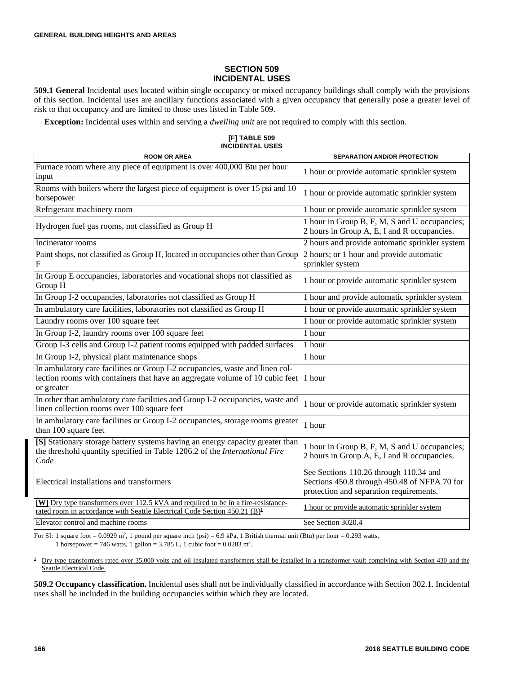#### **SECTION 509 INCIDENTAL USES**

**509.1 General** Incidental uses located within single occupancy or mixed occupancy buildings shall comply with the provisions of this section. Incidental uses are ancillary functions associated with a given occupancy that generally pose a greater level of risk to that occupancy and are limited to those uses listed in Table 509.

**Exception:** Incidental uses within and serving a *dwelling unit* are not required to comply with this section.

**[F] TABLE 509 INCIDENTAL USES**

| <b>ROOM OR AREA</b>                                                                                                                                                        | <b>SEPARATION AND/OR PROTECTION</b>                                                                                               |
|----------------------------------------------------------------------------------------------------------------------------------------------------------------------------|-----------------------------------------------------------------------------------------------------------------------------------|
| Furnace room where any piece of equipment is over 400,000 Btu per hour<br>input                                                                                            | 1 hour or provide automatic sprinkler system                                                                                      |
| Rooms with boilers where the largest piece of equipment is over 15 psi and 10<br>horsepower                                                                                | 1 hour or provide automatic sprinkler system                                                                                      |
| Refrigerant machinery room                                                                                                                                                 | 1 hour or provide automatic sprinkler system                                                                                      |
| Hydrogen fuel gas rooms, not classified as Group H                                                                                                                         | 1 hour in Group B, F, M, S and U occupancies;<br>2 hours in Group A, E, I and R occupancies.                                      |
| Incinerator rooms                                                                                                                                                          | 2 hours and provide automatic sprinkler system                                                                                    |
| Paint shops, not classified as Group H, located in occupancies other than Group<br>F                                                                                       | 2 hours; or 1 hour and provide automatic<br>sprinkler system                                                                      |
| In Group E occupancies, laboratories and vocational shops not classified as<br>Group H                                                                                     | 1 hour or provide automatic sprinkler system                                                                                      |
| In Group I-2 occupancies, laboratories not classified as Group H                                                                                                           | 1 hour and provide automatic sprinkler system                                                                                     |
| In ambulatory care facilities, laboratories not classified as Group H                                                                                                      | 1 hour or provide automatic sprinkler system                                                                                      |
| Laundry rooms over 100 square feet                                                                                                                                         | 1 hour or provide automatic sprinkler system                                                                                      |
| In Group I-2, laundry rooms over 100 square feet                                                                                                                           | 1 hour                                                                                                                            |
| Group I-3 cells and Group I-2 patient rooms equipped with padded surfaces                                                                                                  | 1 hour                                                                                                                            |
| In Group I-2, physical plant maintenance shops                                                                                                                             | 1 hour                                                                                                                            |
| In ambulatory care facilities or Group I-2 occupancies, waste and linen col-<br>lection rooms with containers that have an aggregate volume of 10 cubic feet<br>or greater | 1 hour                                                                                                                            |
| In other than ambulatory care facilities and Group I-2 occupancies, waste and<br>linen collection rooms over 100 square feet                                               | 1 hour or provide automatic sprinkler system                                                                                      |
| In ambulatory care facilities or Group I-2 occupancies, storage rooms greater<br>than 100 square feet                                                                      | 1 hour                                                                                                                            |
| [S] Stationary storage battery systems having an energy capacity greater than<br>the threshold quantity specified in Table 1206.2 of the International Fire<br>Code        | 1 hour in Group B, F, M, S and U occupancies;<br>2 hours in Group A, E, I and R occupancies.                                      |
| Electrical installations and transformers                                                                                                                                  | See Sections 110.26 through 110.34 and<br>Sections 450.8 through 450.48 of NFPA 70 for<br>protection and separation requirements. |
| [W] Dry type transformers over 112.5 kVA and required to be in a fire-resistance-<br>rated room in accordance with Seattle Electrical Code Section 450.21 (B) <sup>1</sup> | 1 hour or provide automatic sprinkler system                                                                                      |
| Elevator control and machine rooms                                                                                                                                         | See Section 3020.4                                                                                                                |

For SI: 1 square foot =  $0.0929$  m<sup>2</sup>, 1 pound per square inch (psi) =  $6.9$  kPa, 1 British thermal unit (Btu) per hour =  $0.293$  watts, 1 horsepower = 746 watts, 1 gallon = 3.785 L, 1 cubic foot =  $0.0283$  m<sup>3</sup>.

 $1$  Dry type transformers rated over 35,000 volts and oil-insulated transformers shall be installed in a transformer vault complying with Section 430 and the Seattle Electrical Code.

**509.2 Occupancy classification.** Incidental uses shall not be individually classified in accordance with Section 302.1. Incidental uses shall be included in the building occupancies within which they are located.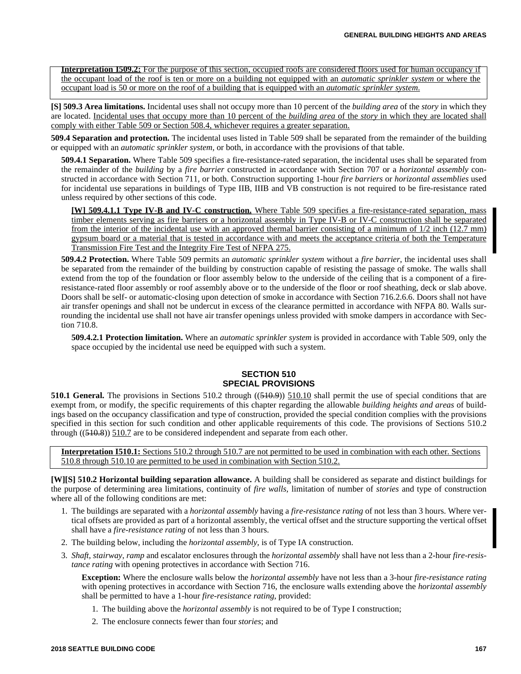**Interpretation I509.2:** For the purpose of this section, occupied roofs are considered floors used for human occupancy if the occupant load of the roof is ten or more on a building not equipped with an *automatic sprinkler system* or where the occupant load is 50 or more on the roof of a building that is equipped with an *automatic sprinkler system*.

**[S] 509.3 Area limitations.** Incidental uses shall not occupy more than 10 percent of the *building area* of the *story* in which they are located. Incidental uses that occupy more than 10 percent of the *building area* of the *story* in which they are located shall comply with either Table 509 or Section 508.4, whichever requires a greater separation.

**509.4 Separation and protection.** The incidental uses listed in Table 509 shall be separated from the remainder of the building or equipped with an *automatic sprinkler system*, or both, in accordance with the provisions of that table.

**509.4.1 Separation.** Where Table 509 specifies a fire-resistance-rated separation, the incidental uses shall be separated from the remainder of the *building* by a *fire barrier* constructed in accordance with Section 707 or a *horizontal assembly* constructed in accordance with Section 711, or both. Construction supporting 1-hour *fire barriers* or *horizontal assemblies* used for incidental use separations in buildings of Type IIB, IIIB and VB construction is not required to be fire-resistance rated unless required by other sections of this code.

**[W] 509.4.1.1 Type IV-B and IV-C construction.** Where Table 509 specifies a fire-resistance-rated separation, mass timber elements serving as fire barriers or a horizontal assembly in Type IV-B or IV-C construction shall be separated from the interior of the incidental use with an approved thermal barrier consisting of a minimum of 1/2 inch (12.7 mm) gypsum board or a material that is tested in accordance with and meets the acceptance criteria of both the Temperature Transmission Fire Test and the Integrity Fire Test of NFPA 275.

**509.4.2 Protection.** Where Table 509 permits an *automatic sprinkler system* without a *fire barrier*, the incidental uses shall be separated from the remainder of the building by construction capable of resisting the passage of smoke. The walls shall extend from the top of the foundation or floor assembly below to the underside of the ceiling that is a component of a fireresistance-rated floor assembly or roof assembly above or to the underside of the floor or roof sheathing, deck or slab above. Doors shall be self- or automatic-closing upon detection of smoke in accordance with Section 716.2.6.6. Doors shall not have air transfer openings and shall not be undercut in excess of the clearance permitted in accordance with NFPA 80. Walls surrounding the incidental use shall not have air transfer openings unless provided with smoke dampers in accordance with Section 710.8.

**509.4.2.1 Protection limitation.** Where an *automatic sprinkler system* is provided in accordance with Table 509, only the space occupied by the incidental use need be equipped with such a system.

#### **SECTION 510 SPECIAL PROVISIONS**

**510.1 General.** The provisions in Sections 510.2 through ((510.9)) 510.10 shall permit the use of special conditions that are exempt from, or modify, the specific requirements of this chapter regarding the allowable *building heights and areas* of buildings based on the occupancy classification and type of construction, provided the special condition complies with the provisions specified in this section for such condition and other applicable requirements of this code. The provisions of Sections 510.2 through  $((510.8))$  510.7 are to be considered independent and separate from each other.

**Interpretation I510.1:** Sections 510.2 through 510.7 are not permitted to be used in combination with each other. Sections 510.8 through 510.10 are permitted to be used in combination with Section 510.2.

**[W][S] 510.2 Horizontal building separation allowance.** A building shall be considered as separate and distinct buildings for the purpose of determining area limitations, continuity of *fire walls,* limitation of number of *stories* and type of construction where all of the following conditions are met:

- 1. The buildings are separated with a *horizontal assembly* having a *fire-resistance rating* of not less than 3 hours. Where vertical offsets are provided as part of a horizontal assembly, the vertical offset and the structure supporting the vertical offset shall have a *fire-resistance rating* of not less than 3 hours.
- 2. The building below, including the *horizontal assembly,* is of Type IA construction.
- 3. *Shaft*, *stairway*, *ramp* and escalator enclosures through the *horizontal assembly* shall have not less than a 2-hour *fire-resistance rating* with opening protectives in accordance with Section 716.

**Exception:** Where the enclosure walls below the *horizontal assembly* have not less than a 3-hour *fire-resistance rating* with opening protectives in accordance with Section 716, the enclosure walls extending above the *horizontal assembly* shall be permitted to have a 1-hour *fire-resistance rating*, provided:

- 1. The building above the *horizontal assembly* is not required to be of Type I construction;
- 2. The enclosure connects fewer than four *stories*; and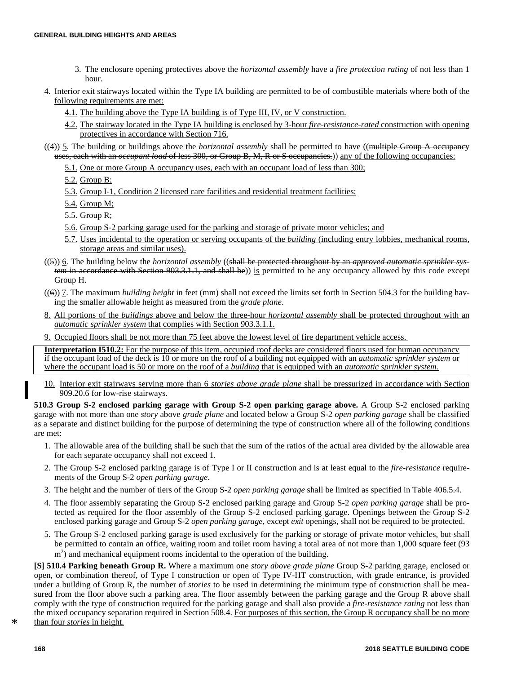- 3. The enclosure opening protectives above the *horizontal assembly* have a *fire protection rating* of not less than 1 hour.
- 4. Interior exit stairways located within the Type IA building are permitted to be of combustible materials where both of the following requirements are met:
	- 4.1. The building above the Type IA building is of Type III, IV, or V construction.
	- 4.2. The stairway located in the Type IA building is enclosed by 3-hour *fire-resistance-rated* construction with opening protectives in accordance with Section 716.
- ((4)) 5. The building or buildings above the *horizontal assembly* shall be permitted to have ((multiple Group A occupancy uses, each with an *occupant load* of less 300, or Group B, M, R or S occupancies.)) any of the following occupancies:
	- 5.1. One or more Group A occupancy uses, each with an occupant load of less than 300;
	- 5.2. Group B;
	- 5.3. Group I-1, Condition 2 licensed care facilities and residential treatment facilities;
	- 5.4. Group M;
	- 5.5. Group R;
	- 5.6. Group S-2 parking garage used for the parking and storage of private motor vehicles; and
	- 5.7. Uses incidental to the operation or serving occupants of the *building* (including entry lobbies, mechanical rooms, storage areas and similar uses).
- ((5)) 6. The building below the *horizontal assembly* ((shall be protected throughout by an *approved automatic sprinkler system* in accordance with Section 903.3.1.1, and shall be)) is permitted to be any occupancy allowed by this code except Group H.
- ((6)) 7. The maximum *building height* in feet (mm) shall not exceed the limits set forth in Section 504.3 for the building having the smaller allowable height as measured from the *grade plane*.
- 8. All portions of the *buildings* above and below the three-hour *horizontal assembly* shall be protected throughout with an *automatic sprinkler system* that complies with Section 903.3.1.1.
- 9. Occupied floors shall be not more than 75 feet above the lowest level of fire department vehicle access.

**Interpretation I510.2:** For the purpose of this item, occupied roof decks are considered floors used for human occupancy if the occupant load of the deck is 10 or more on the roof of a building not equipped with an *automatic sprinkler system* or where the occupant load is 50 or more on the roof of a *building* that is equipped with an *automatic sprinkler system.*

10. Interior exit stairways serving more than 6 *stories above grade plane* shall be pressurized in accordance with Section 909.20.6 for low-rise stairways.

**510.3 Group S-2 enclosed parking garage with Group S-2 open parking garage above.** A Group S-2 enclosed parking garage with not more than one *story* above *grade plane* and located below a Group S-2 *open parking garage* shall be classified as a separate and distinct building for the purpose of determining the type of construction where all of the following conditions are met:

- 1. The allowable area of the building shall be such that the sum of the ratios of the actual area divided by the allowable area for each separate occupancy shall not exceed 1.
- 2. The Group S-2 enclosed parking garage is of Type I or II construction and is at least equal to the *fire-resistance* requirements of the Group S-2 *open parking garage*.
- 3. The height and the number of tiers of the Group S-2 *open parking garage* shall be limited as specified in Table 406.5.4.
- 4. The floor assembly separating the Group S-2 enclosed parking garage and Group S-2 *open parking garage* shall be protected as required for the floor assembly of the Group S-2 enclosed parking garage. Openings between the Group S-2 enclosed parking garage and Group S-2 *open parking garage*, except *exit* openings, shall not be required to be protected.
- 5. The Group S-2 enclosed parking garage is used exclusively for the parking or storage of private motor vehicles, but shall be permitted to contain an office, waiting room and toilet room having a total area of not more than 1,000 square feet (93 m<sup>2</sup>) and mechanical equipment rooms incidental to the operation of the building.

**[S] 510.4 Parking beneath Group R.** Where a maximum one *story above grade plane* Group S-2 parking garage, enclosed or open, or combination thereof, of Type I construction or open of Type IV-HT construction, with grade entrance, is provided under a building of Group R, the number of *stories* to be used in determining the minimum type of construction shall be measured from the floor above such a parking area. The floor assembly between the parking garage and the Group R above shall comply with the type of construction required for the parking garage and shall also provide a *fire-resistance rating* not less than the mixed occupancy separation required in Section 508.4. For purposes of this section, the Group R occupancy shall be no more \* than four *stories* in height.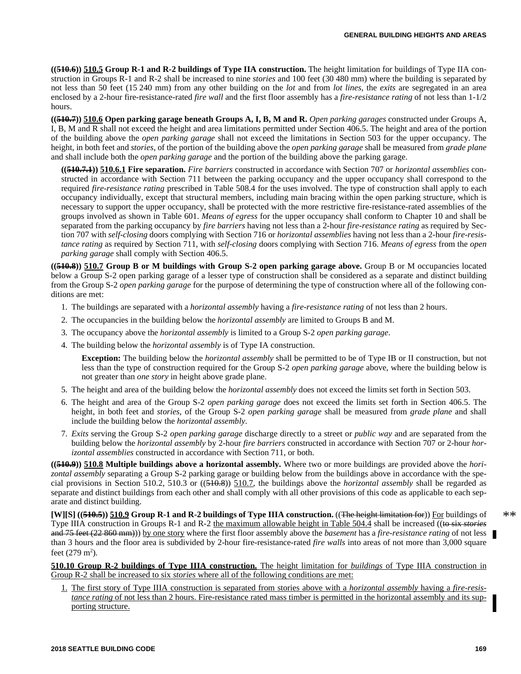**((510.6)) 510.5 Group R-1 and R-2 buildings of Type IIA construction.** The height limitation for buildings of Type IIA construction in Groups R-1 and R-2 shall be increased to nine *stories* and 100 feet (30 480 mm) where the building is separated by not less than 50 feet (15 240 mm) from any other building on the *lot* and from *lot lines,* the *exits* are segregated in an area enclosed by a 2-hour fire-resistance-rated *fire wall* and the first floor assembly has a *fire-resistance rating* of not less than 1-1/2 hours.

**((510.7)) 510.6 Open parking garage beneath Groups A, I, B, M and R.** *Open parking garages* constructed under Groups A, I, B, M and R shall not exceed the height and area limitations permitted under Section 406.5. The height and area of the portion of the building above the *open parking garage* shall not exceed the limitations in Section 503 for the upper occupancy. The height, in both feet and *stories*, of the portion of the building above the *open parking garage* shall be measured from *grade plane* and shall include both the *open parking garage* and the portion of the building above the parking garage.

**((510.7.1)) 510.6.1 Fire separation.** *Fire barriers* constructed in accordance with Section 707 or *horizontal assemblies* constructed in accordance with Section 711 between the parking occupancy and the upper occupancy shall correspond to the required *fire-resistance rating* prescribed in Table 508.4 for the uses involved. The type of construction shall apply to each occupancy individually, except that structural members, including main bracing within the open parking structure, which is necessary to support the upper occupancy, shall be protected with the more restrictive fire-resistance-rated assemblies of the groups involved as shown in Table 601. *Means of egress* for the upper occupancy shall conform to Chapter 10 and shall be separated from the parking occupancy by *fire barriers* having not less than a 2-hour *fire-resistance rating* as required by Section 707 with *self-closing* doors complying with Section 716 or *horizontal assemblies* having not less than a 2-hour *fire-resistance rating* as required by Section 711, with *self-closing* doors complying with Section 716. *Means of egress* from the *open parking garage* shall comply with Section 406.5.

**((510.8)) 510.7 Group B or M buildings with Group S-2 open parking garage above.** Group B or M occupancies located below a Group S-2 open parking garage of a lesser type of construction shall be considered as a separate and distinct building from the Group S-2 *open parking garage* for the purpose of determining the type of construction where all of the following conditions are met:

- 1. The buildings are separated with a *horizontal assembly* having a *fire-resistance rating* of not less than 2 hours.
- 2. The occupancies in the building below the *horizontal assembly* are limited to Groups B and M.
- 3. The occupancy above the *horizontal assembly* is limited to a Group S-2 *open parking garage*.
- 4. The building below the *horizontal assembly* is of Type IA construction.

**Exception:** The building below the *horizontal assembly* shall be permitted to be of Type IB or II construction, but not less than the type of construction required for the Group S-2 *open parking garage* above, where the building below is not greater than *one story* in height above grade plane.

- 5. The height and area of the building below the *horizontal assembly* does not exceed the limits set forth in Section 503.
- 6. The height and area of the Group S-2 *open parking garage* does not exceed the limits set forth in Section 406.5. The height, in both feet and *stories*, of the Group S-2 *open parking garage* shall be measured from *grade plane* and shall include the building below the *horizontal assembly*.
- 7. *Exits* serving the Group S-2 *open parking garage* discharge directly to a street or *public way* and are separated from the building below the *horizontal assembly* by 2-hour *fire barriers* constructed in accordance with Section 707 or 2-hour *horizontal assemblies* constructed in accordance with Section 711, or both.

**((510.9)) 510.8 Multiple buildings above a horizontal assembly.** Where two or more buildings are provided above the *horizontal assembly* separating a Group S-2 parking garage or building below from the buildings above in accordance with the special provisions in Section 510.2, 510.3 or ((510.8)) 510.7, the buildings above the *horizontal assembly* shall be regarded as separate and distinct buildings from each other and shall comply with all other provisions of this code as applicable to each separate and distinct building.

**[W][S] ((510.5)) 510.9 Group R-1 and R-2 buildings of Type IIIA construction.** ((The height limitation for)) For buildings of Type IIIA construction in Groups R-1 and R-2 the maximum allowable height in Table 504.4 shall be increased ((to six *stories* and 75 feet (22 860 mm))) by one story where the first floor assembly above the *basement* has a *fire-resistance rating* of not less than 3 hours and the floor area is subdivided by 2-hour fire-resistance-rated *fire walls* into areas of not more than 3,000 square feet  $(279 \text{ m}^2)$ .

**510.10 Group R-2 buildings of Type IIIA construction.** The height limitation for *buildings* of Type IIIA construction in Group R-2 shall be increased to six *stories* where all of the following conditions are met:

1. The first story of Type IIIA construction is separated from stories above with a *horizontal assembly* having a *fire-resistance rating* of not less than 2 hours. Fire-resistance rated mass timber is permitted in the horizontal assembly and its supporting structure.

\*\*